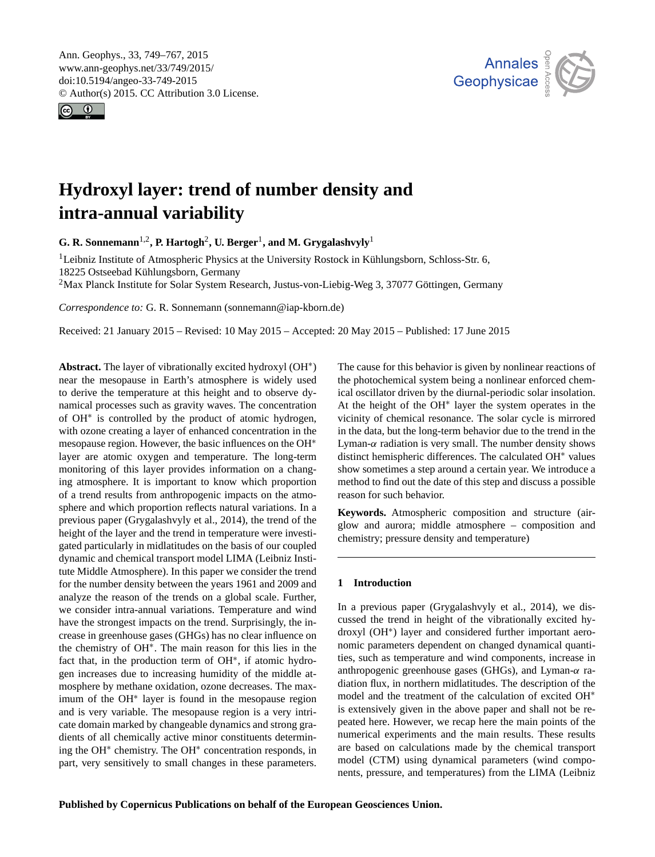<span id="page-0-1"></span>Ann. Geophys., 33, 749–767, 2015 www.ann-geophys.net/33/749/2015/ doi:10.5194/angeo-33-749-2015 © Author(s) 2015. CC Attribution 3.0 License.





# **Hydroxyl layer: trend of number density and intra-annual variability**

**G. R. Sonnemann**[1,2](#page-0-0) **, P. Hartogh**[2](#page-0-0) **, U. Berger**[1](#page-0-0) **, and M. Grygalashvyly**[1](#page-0-0)

 $1$ Leibniz Institute of Atmospheric Physics at the University Rostock in Kühlungsborn, Schloss-Str. 6, 18225 Ostseebad Kühlungsborn, Germany

<sup>2</sup>Max Planck Institute for Solar System Research, Justus-von-Liebig-Weg 3, 37077 Göttingen, Germany

*Correspondence to:* G. R. Sonnemann (sonnemann@iap-kborn.de)

Received: 21 January 2015 – Revised: 10 May 2015 – Accepted: 20 May 2015 – Published: 17 June 2015

<span id="page-0-0"></span>**Abstract.** The layer of vibrationally excited hydroxyl (OH<sup>∗</sup> ) near the mesopause in Earth's atmosphere is widely used to derive the temperature at this height and to observe dynamical processes such as gravity waves. The concentration of OH<sup>∗</sup> is controlled by the product of atomic hydrogen, with ozone creating a layer of enhanced concentration in the mesopause region. However, the basic influences on the OH<sup>∗</sup> layer are atomic oxygen and temperature. The long-term monitoring of this layer provides information on a changing atmosphere. It is important to know which proportion of a trend results from anthropogenic impacts on the atmosphere and which proportion reflects natural variations. In a previous paper (Grygalashvyly et al., 2014), the trend of the height of the layer and the trend in temperature were investigated particularly in midlatitudes on the basis of our coupled dynamic and chemical transport model LIMA (Leibniz Institute Middle Atmosphere). In this paper we consider the trend for the number density between the years 1961 and 2009 and analyze the reason of the trends on a global scale. Further, we consider intra-annual variations. Temperature and wind have the strongest impacts on the trend. Surprisingly, the increase in greenhouse gases (GHGs) has no clear influence on the chemistry of OH<sup>∗</sup> . The main reason for this lies in the fact that, in the production term of OH<sup>\*</sup>, if atomic hydrogen increases due to increasing humidity of the middle atmosphere by methane oxidation, ozone decreases. The maximum of the OH<sup>∗</sup> layer is found in the mesopause region and is very variable. The mesopause region is a very intricate domain marked by changeable dynamics and strong gradients of all chemically active minor constituents determining the OH<sup>∗</sup> chemistry. The OH<sup>∗</sup> concentration responds, in part, very sensitively to small changes in these parameters.

The cause for this behavior is given by nonlinear reactions of the photochemical system being a nonlinear enforced chemical oscillator driven by the diurnal-periodic solar insolation. At the height of the OH<sup>∗</sup> layer the system operates in the vicinity of chemical resonance. The solar cycle is mirrored in the data, but the long-term behavior due to the trend in the Lyman- $\alpha$  radiation is very small. The number density shows distinct hemispheric differences. The calculated OH<sup>∗</sup> values show sometimes a step around a certain year. We introduce a method to find out the date of this step and discuss a possible reason for such behavior.

**Keywords.** Atmospheric composition and structure (airglow and aurora; middle atmosphere – composition and chemistry; pressure density and temperature)

## **1 Introduction**

In a previous paper (Grygalashvyly et al., 2014), we discussed the trend in height of the vibrationally excited hydroxyl (OH<sup>∗</sup> ) layer and considered further important aeronomic parameters dependent on changed dynamical quantities, such as temperature and wind components, increase in anthropogenic greenhouse gases (GHGs), and Lyman- $\alpha$  radiation flux, in northern midlatitudes. The description of the model and the treatment of the calculation of excited OH<sup>∗</sup> is extensively given in the above paper and shall not be repeated here. However, we recap here the main points of the numerical experiments and the main results. These results are based on calculations made by the chemical transport model (CTM) using dynamical parameters (wind components, pressure, and temperatures) from the LIMA (Leibniz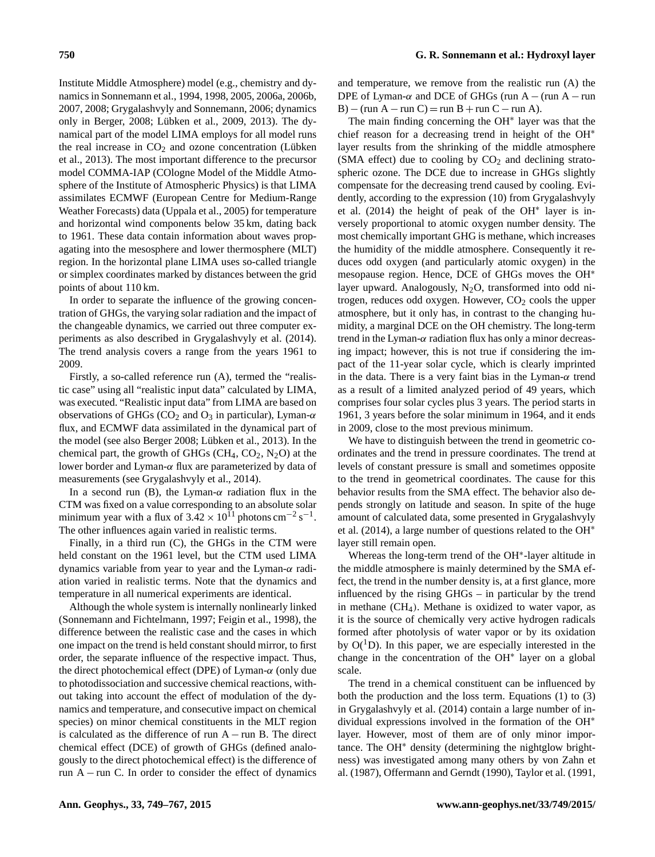Institute Middle Atmosphere) model (e.g., chemistry and dynamics in Sonnemann et al., 1994, 1998, 2005, 2006a, 2006b, 2007, 2008; Grygalashvyly and Sonnemann, 2006; dynamics only in Berger, 2008; Lübken et al., 2009, 2013). The dynamical part of the model LIMA employs for all model runs the real increase in  $CO<sub>2</sub>$  and ozone concentration (Lübken et al., 2013). The most important difference to the precursor model COMMA-IAP (COlogne Model of the Middle Atmosphere of the Institute of Atmospheric Physics) is that LIMA assimilates ECMWF (European Centre for Medium-Range Weather Forecasts) data (Uppala et al., 2005) for temperature and horizontal wind components below 35 km, dating back to 1961. These data contain information about waves propagating into the mesosphere and lower thermosphere (MLT) region. In the horizontal plane LIMA uses so-called triangle or simplex coordinates marked by distances between the grid points of about 110 km.

In order to separate the influence of the growing concentration of GHGs, the varying solar radiation and the impact of the changeable dynamics, we carried out three computer experiments as also described in Grygalashvyly et al. (2014). The trend analysis covers a range from the years 1961 to 2009.

Firstly, a so-called reference run (A), termed the "realistic case" using all "realistic input data" calculated by LIMA, was executed. "Realistic input data" from LIMA are based on observations of GHGs ( $CO<sub>2</sub>$  and  $O<sub>3</sub>$  in particular), Lyman- $\alpha$ flux, and ECMWF data assimilated in the dynamical part of the model (see also Berger 2008; Lübken et al., 2013). In the chemical part, the growth of GHGs ( $CH<sub>4</sub>, CO<sub>2</sub>, N<sub>2</sub>O$ ) at the lower border and Lyman- $\alpha$  flux are parameterized by data of measurements (see Grygalashvyly et al., 2014).

In a second run (B), the Lyman- $\alpha$  radiation flux in the CTM was fixed on a value corresponding to an absolute solar minimum year with a flux of  $3.42 \times 10^{11}$  photons cm<sup>-2</sup> s<sup>-1</sup>. The other influences again varied in realistic terms.

Finally, in a third run (C), the GHGs in the CTM were held constant on the 1961 level, but the CTM used LIMA dynamics variable from year to year and the Lyman- $\alpha$  radiation varied in realistic terms. Note that the dynamics and temperature in all numerical experiments are identical.

Although the whole system is internally nonlinearly linked (Sonnemann and Fichtelmann, 1997; Feigin et al., 1998), the difference between the realistic case and the cases in which one impact on the trend is held constant should mirror, to first order, the separate influence of the respective impact. Thus, the direct photochemical effect (DPE) of Lyman- $\alpha$  (only due to photodissociation and successive chemical reactions, without taking into account the effect of modulation of the dynamics and temperature, and consecutive impact on chemical species) on minor chemical constituents in the MLT region is calculated as the difference of run A − run B. The direct chemical effect (DCE) of growth of GHGs (defined analogously to the direct photochemical effect) is the difference of run A − run C. In order to consider the effect of dynamics and temperature, we remove from the realistic run (A) the DPE of Lyman- $\alpha$  and DCE of GHGs (run A – (run A – run B) – (run A – run C) = run B + run C – run A).

The main finding concerning the OH<sup>∗</sup> layer was that the chief reason for a decreasing trend in height of the OH<sup>∗</sup> layer results from the shrinking of the middle atmosphere (SMA effect) due to cooling by  $CO<sub>2</sub>$  and declining stratospheric ozone. The DCE due to increase in GHGs slightly compensate for the decreasing trend caused by cooling. Evidently, according to the expression (10) from Grygalashvyly et al. (2014) the height of peak of the OH<sup>∗</sup> layer is inversely proportional to atomic oxygen number density. The most chemically important GHG is methane, which increases the humidity of the middle atmosphere. Consequently it reduces odd oxygen (and particularly atomic oxygen) in the mesopause region. Hence, DCE of GHGs moves the OH<sup>∗</sup> layer upward. Analogously,  $N_2O$ , transformed into odd nitrogen, reduces odd oxygen. However,  $CO<sub>2</sub>$  cools the upper atmosphere, but it only has, in contrast to the changing humidity, a marginal DCE on the OH chemistry. The long-term trend in the Lyman- $\alpha$  radiation flux has only a minor decreasing impact; however, this is not true if considering the impact of the 11-year solar cycle, which is clearly imprinted in the data. There is a very faint bias in the Lyman- $\alpha$  trend as a result of a limited analyzed period of 49 years, which comprises four solar cycles plus 3 years. The period starts in 1961, 3 years before the solar minimum in 1964, and it ends in 2009, close to the most previous minimum.

We have to distinguish between the trend in geometric coordinates and the trend in pressure coordinates. The trend at levels of constant pressure is small and sometimes opposite to the trend in geometrical coordinates. The cause for this behavior results from the SMA effect. The behavior also depends strongly on latitude and season. In spite of the huge amount of calculated data, some presented in Grygalashvyly et al. (2014), a large number of questions related to the OH<sup>∗</sup> layer still remain open.

Whereas the long-term trend of the OH<sup>∗</sup> -layer altitude in the middle atmosphere is mainly determined by the SMA effect, the trend in the number density is, at a first glance, more influenced by the rising GHGs – in particular by the trend in methane  $(CH<sub>4</sub>)$ . Methane is oxidized to water vapor, as it is the source of chemically very active hydrogen radicals formed after photolysis of water vapor or by its oxidation by  $O(^1D)$ . In this paper, we are especially interested in the change in the concentration of the OH<sup>∗</sup> layer on a global scale.

The trend in a chemical constituent can be influenced by both the production and the loss term. Equations (1) to (3) in Grygalashvyly et al. (2014) contain a large number of individual expressions involved in the formation of the OH<sup>∗</sup> layer. However, most of them are of only minor importance. The OH<sup>∗</sup> density (determining the nightglow brightness) was investigated among many others by von Zahn et al. (1987), Offermann and Gerndt (1990), Taylor et al. (1991,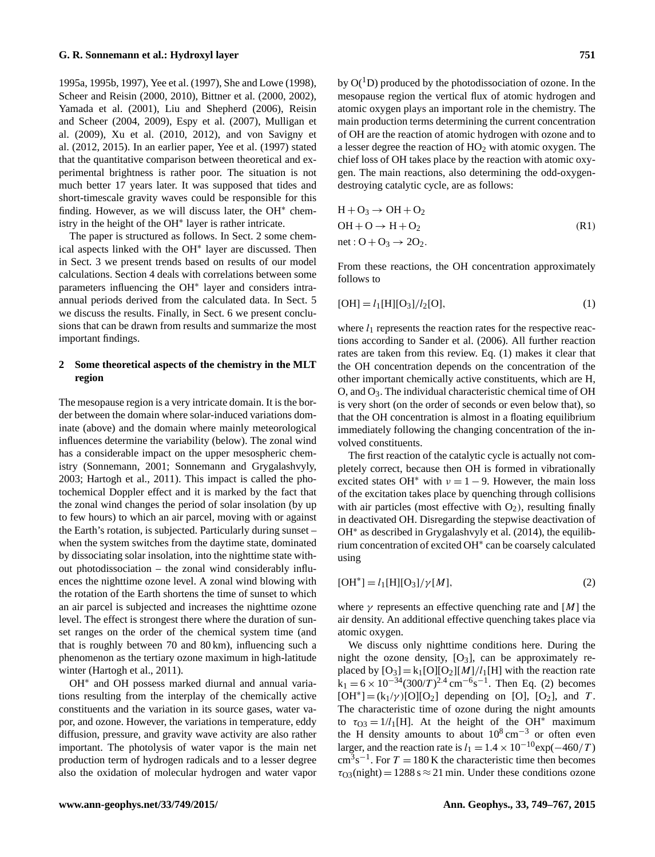### **G. R. Sonnemann et al.: Hydroxyl layer 751**

1995a, 1995b, 1997), Yee et al. (1997), She and Lowe (1998), Scheer and Reisin (2000, 2010), Bittner et al. (2000, 2002), Yamada et al. (2001), Liu and Shepherd (2006), Reisin and Scheer (2004, 2009), Espy et al. (2007), Mulligan et al. (2009), Xu et al. (2010, 2012), and von Savigny et al. (2012, 2015). In an earlier paper, Yee et al. (1997) stated that the quantitative comparison between theoretical and experimental brightness is rather poor. The situation is not much better 17 years later. It was supposed that tides and short-timescale gravity waves could be responsible for this finding. However, as we will discuss later, the OH<sup>\*</sup> chemistry in the height of the OH<sup>∗</sup> layer is rather intricate.

The paper is structured as follows. In Sect. 2 some chemical aspects linked with the OH<sup>∗</sup> layer are discussed. Then in Sect. 3 we present trends based on results of our model calculations. Section 4 deals with correlations between some parameters influencing the OH<sup>∗</sup> layer and considers intraannual periods derived from the calculated data. In Sect. 5 we discuss the results. Finally, in Sect. 6 we present conclusions that can be drawn from results and summarize the most important findings.

# **2 Some theoretical aspects of the chemistry in the MLT region**

The mesopause region is a very intricate domain. It is the border between the domain where solar-induced variations dominate (above) and the domain where mainly meteorological influences determine the variability (below). The zonal wind has a considerable impact on the upper mesospheric chemistry (Sonnemann, 2001; Sonnemann and Grygalashvyly, 2003; Hartogh et al., 2011). This impact is called the photochemical Doppler effect and it is marked by the fact that the zonal wind changes the period of solar insolation (by up to few hours) to which an air parcel, moving with or against the Earth's rotation, is subjected. Particularly during sunset – when the system switches from the daytime state, dominated by dissociating solar insolation, into the nighttime state without photodissociation – the zonal wind considerably influences the nighttime ozone level. A zonal wind blowing with the rotation of the Earth shortens the time of sunset to which an air parcel is subjected and increases the nighttime ozone level. The effect is strongest there where the duration of sunset ranges on the order of the chemical system time (and that is roughly between 70 and 80 km), influencing such a phenomenon as the tertiary ozone maximum in high-latitude winter (Hartogh et al., 2011).

OH<sup>\*</sup> and OH possess marked diurnal and annual variations resulting from the interplay of the chemically active constituents and the variation in its source gases, water vapor, and ozone. However, the variations in temperature, eddy diffusion, pressure, and gravity wave activity are also rather important. The photolysis of water vapor is the main net production term of hydrogen radicals and to a lesser degree also the oxidation of molecular hydrogen and water vapor by  $O(^1D)$  produced by the photodissociation of ozone. In the mesopause region the vertical flux of atomic hydrogen and atomic oxygen plays an important role in the chemistry. The main production terms determining the current concentration of OH are the reaction of atomic hydrogen with ozone and to a lesser degree the reaction of  $HO<sub>2</sub>$  with atomic oxygen. The chief loss of OH takes place by the reaction with atomic oxygen. The main reactions, also determining the odd-oxygendestroying catalytic cycle, are as follows:

$$
H + O3 \rightarrow OH + O2
$$
  
OH + O \rightarrow H + O<sub>2</sub>  
net : O + O<sub>3</sub> \rightarrow 2O<sub>2</sub>. (R1)

From these reactions, the OH concentration approximately follows to

$$
[OH] = l_1[H][O_3]/l_2[O],
$$
\n(1)

where  $l_1$  represents the reaction rates for the respective reactions according to Sander et al. (2006). All further reaction rates are taken from this review. Eq. (1) makes it clear that the OH concentration depends on the concentration of the other important chemically active constituents, which are H,  $O$ , and  $O<sub>3</sub>$ . The individual characteristic chemical time of OH is very short (on the order of seconds or even below that), so that the OH concentration is almost in a floating equilibrium immediately following the changing concentration of the involved constituents.

The first reaction of the catalytic cycle is actually not completely correct, because then OH is formed in vibrationally excited states OH<sup>\*</sup> with  $v = 1 - 9$ . However, the main loss of the excitation takes place by quenching through collisions with air particles (most effective with  $O_2$ ), resulting finally in deactivated OH. Disregarding the stepwise deactivation of OH<sup>∗</sup> as described in Grygalashvyly et al. (2014), the equilibrium concentration of excited OH<sup>∗</sup> can be coarsely calculated using

$$
[OH^*] = l_1[H][O_3]/\gamma[M],\tag{2}
$$

where  $\gamma$  represents an effective quenching rate and [M] the air density. An additional effective quenching takes place via atomic oxygen.

We discuss only nighttime conditions here. During the night the ozone density,  $[O_3]$ , can be approximately replaced by  $[O_3] = k_1[O][O_2][M]/l_1[H]$  with the reaction rate  $k_1 = 6 \times 10^{-34} (300/T)^{2.4}$  cm<sup>-6</sup>s<sup>-1</sup>. Then Eq. (2) becomes  $[OH^*] = (k_1/\gamma)[O][O_2]$  depending on [O], [O<sub>2</sub>], and T. The characteristic time of ozone during the night amounts to  $\tau_{\text{O3}} = 1/l_1[H]$ . At the height of the OH<sup>\*</sup> maximum the H density amounts to about  $10^8 \text{ cm}^{-3}$  or often even larger, and the reaction rate is  $l_1 = 1.4 \times 10^{-10} \exp(-460/T)$  $\text{cm}^3 \text{s}^{-1}$ . For  $T = 180 \text{ K}$  the characteristic time then becomes  $\tau_{\rm O3}($ night) = 1288 s  $\approx$  21 min. Under these conditions ozone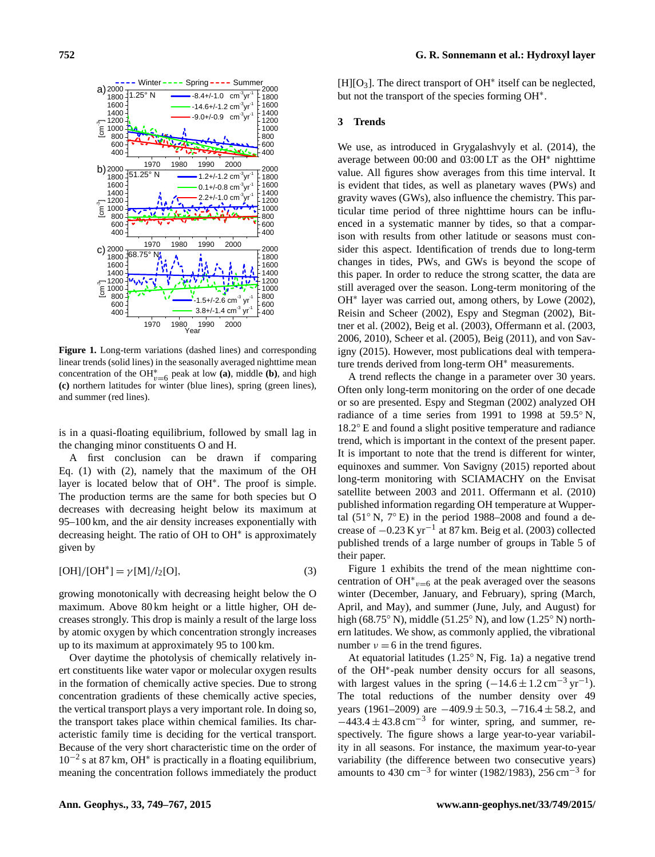

**Figure 1.** Long-term variations (dashed lines) and corresponding linear trends (solid lines) in the seasonally averaged nighttime mean concentration of the OH<sup>\*</sup><sub>v=6</sub> peak at low **(a)**, middle **(b)**, and high **(c)** northern latitudes for winter (blue lines), spring (green lines), and summer (red lines).

is in a quasi-floating equilibrium, followed by small lag in the changing minor constituents O and H.

A first conclusion can be drawn if comparing Eq. (1) with (2), namely that the maximum of the OH layer is located below that of OH<sup>∗</sup> . The proof is simple. The production terms are the same for both species but O decreases with decreasing height below its maximum at 95–100 km, and the air density increases exponentially with decreasing height. The ratio of OH to OH<sup>∗</sup> is approximately given by

$$
[OH]/[OH^*] = \gamma [M]/l_2[O],
$$
\n(3)

growing monotonically with decreasing height below the O maximum. Above 80 km height or a little higher, OH decreases strongly. This drop is mainly a result of the large loss by atomic oxygen by which concentration strongly increases up to its maximum at approximately 95 to 100 km.

Over daytime the photolysis of chemically relatively inert constituents like water vapor or molecular oxygen results in the formation of chemically active species. Due to strong concentration gradients of these chemically active species, the vertical transport plays a very important role. In doing so, the transport takes place within chemical families. Its characteristic family time is deciding for the vertical transport. Because of the very short characteristic time on the order of 10−<sup>2</sup> s at 87 km, OH<sup>∗</sup> is practically in a floating equilibrium, meaning the concentration follows immediately the product [H][O<sub>3</sub>]. The direct transport of OH<sup>\*</sup> itself can be neglected, but not the transport of the species forming OH<sup>∗</sup> .

## **3 Trends**

We use, as introduced in Grygalashvyly et al. (2014), the average between 00:00 and 03:00 LT as the OH<sup>∗</sup> nighttime value. All figures show averages from this time interval. It is evident that tides, as well as planetary waves (PWs) and gravity waves (GWs), also influence the chemistry. This particular time period of three nighttime hours can be influenced in a systematic manner by tides, so that a comparison with results from other latitude or seasons must consider this aspect. Identification of trends due to long-term changes in tides, PWs, and GWs is beyond the scope of this paper. In order to reduce the strong scatter, the data are still averaged over the season. Long-term monitoring of the OH<sup>∗</sup> layer was carried out, among others, by Lowe (2002), Reisin and Scheer (2002), Espy and Stegman (2002), Bittner et al. (2002), Beig et al. (2003), Offermann et al. (2003, 2006, 2010), Scheer et al. (2005), Beig (2011), and von Savigny (2015). However, most publications deal with temperature trends derived from long-term OH<sup>∗</sup> measurements.

A trend reflects the change in a parameter over 30 years. Often only long-term monitoring on the order of one decade or so are presented. Espy and Stegman (2002) analyzed OH radiance of a time series from 1991 to 1998 at 59.5◦ N, 18.2◦ E and found a slight positive temperature and radiance trend, which is important in the context of the present paper. It is important to note that the trend is different for winter, equinoxes and summer. Von Savigny (2015) reported about long-term monitoring with SCIAMACHY on the Envisat satellite between 2003 and 2011. Offermann et al. (2010) published information regarding OH temperature at Wuppertal  $(51° N, 7° E)$  in the period 1988–2008 and found a decrease of  $-0.23$  K yr<sup>-1</sup> at 87 km. Beig et al. (2003) collected published trends of a large number of groups in Table 5 of their paper.

Figure 1 exhibits the trend of the mean nighttime concentration of OH $_{v=6}^*$  at the peak averaged over the seasons winter (December, January, and February), spring (March, April, and May), and summer (June, July, and August) for high (68.75° N), middle (51.25° N), and low (1.25° N) northern latitudes. We show, as commonly applied, the vibrational number  $v = 6$  in the trend figures.

At equatorial latitudes (1.25◦ N, Fig. 1a) a negative trend of the OH<sup>∗</sup> -peak number density occurs for all seasons, with largest values in the spring  $(-14.6 \pm 1.2 \text{ cm}^{-3} \text{ yr}^{-1})$ . The total reductions of the number density over 49 years (1961–2009) are  $-409.9 \pm 50.3$ ,  $-716.4 \pm 58.2$ , and  $-443.4 \pm 43.8 \text{ cm}^{-3}$  for winter, spring, and summer, respectively. The figure shows a large year-to-year variability in all seasons. For instance, the maximum year-to-year variability (the difference between two consecutive years) amounts to 430 cm−<sup>3</sup> for winter (1982/1983), 256 cm−<sup>3</sup> for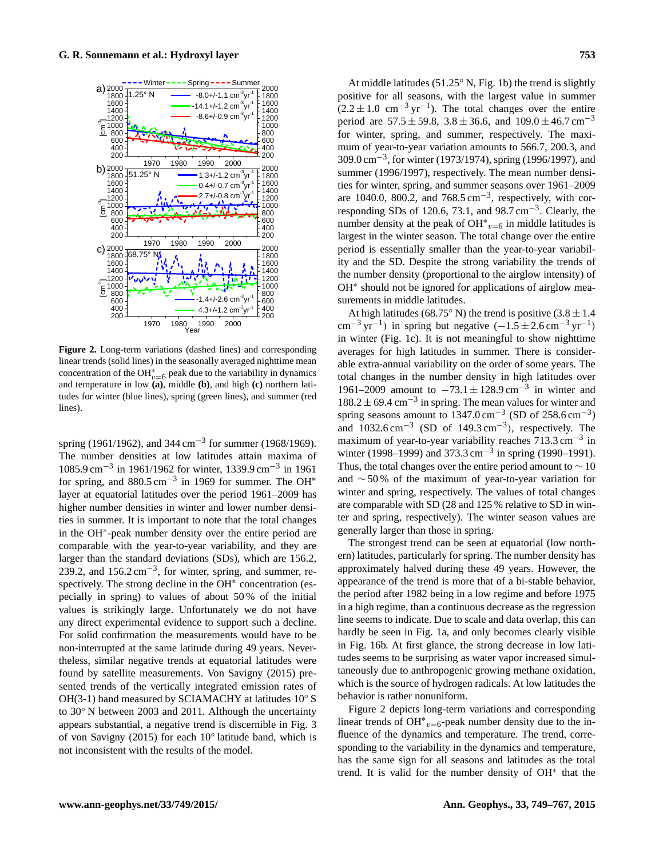

**Figure 2.** Long-term variations (dashed lines) and corresponding linear trends (solid lines) in the seasonally averaged nighttime mean concentration of the OH<sup>\*</sup><sub>v=6</sub> peak due to the variability in dynamics and temperature in low **(a)**, middle **(b)**, and high **(c)** northern latitudes for winter (blue lines), spring (green lines), and summer (red lines).

spring (1961/1962), and 344 cm<sup>-3</sup> for summer (1968/1969). The number densities at low latitudes attain maxima of 1085.9 cm−<sup>3</sup> in 1961/1962 for winter, 1339.9 cm−<sup>3</sup> in 1961 for spring, and  $880.5 \text{ cm}^{-3}$  in 1969 for summer. The OH<sup>\*</sup> layer at equatorial latitudes over the period 1961–2009 has higher number densities in winter and lower number densities in summer. It is important to note that the total changes in the OH<sup>∗</sup> -peak number density over the entire period are comparable with the year-to-year variability, and they are larger than the standard deviations (SDs), which are 156.2, 239.2, and  $156.2 \text{ cm}^{-3}$ , for winter, spring, and summer, respectively. The strong decline in the OH<sup>\*</sup> concentration (especially in spring) to values of about 50 % of the initial values is strikingly large. Unfortunately we do not have any direct experimental evidence to support such a decline. For solid confirmation the measurements would have to be non-interrupted at the same latitude during 49 years. Nevertheless, similar negative trends at equatorial latitudes were found by satellite measurements. Von Savigny (2015) presented trends of the vertically integrated emission rates of OH(3-1) band measured by SCIAMACHY at latitudes  $10° S$ to 30◦ N between 2003 and 2011. Although the uncertainty appears substantial, a negative trend is discernible in Fig. 3 of von Savigny (2015) for each 10° latitude band, which is not inconsistent with the results of the model.

At middle latitudes (51.25° N, Fig. 1b) the trend is slightly positive for all seasons, with the largest value in summer  $(2.2 \pm 1.0 \text{ cm}^{-3} \text{ yr}^{-1})$ . The total changes over the entire period are  $57.5 \pm 59.8$ ,  $3.8 \pm 36.6$ , and  $109.0 \pm 46.7$  cm<sup>-3</sup> for winter, spring, and summer, respectively. The maximum of year-to-year variation amounts to 566.7, 200.3, and 309.0 cm−<sup>3</sup> , for winter (1973/1974), spring (1996/1997), and summer (1996/1997), respectively. The mean number densities for winter, spring, and summer seasons over 1961–2009 are 1040.0, 800.2, and  $768.5 \text{ cm}^{-3}$ , respectively, with corresponding SDs of 120.6, 73.1, and 98.7 cm−<sup>3</sup> . Clearly, the number density at the peak of OH $_{v=6}^{\infty}$  in middle latitudes is largest in the winter season. The total change over the entire period is essentially smaller than the year-to-year variability and the SD. Despite the strong variability the trends of the number density (proportional to the airglow intensity) of OH<sup>\*</sup> should not be ignored for applications of airglow measurements in middle latitudes.

At high latitudes (68.75° N) the trend is positive (3.8  $\pm$  1.4 cm<sup>-3</sup> yr<sup>-1</sup>) in spring but negative  $(-1.5 \pm 2.6 \text{ cm}^{-3} \text{ yr}^{-1})$ in winter (Fig. 1c). It is not meaningful to show nighttime averages for high latitudes in summer. There is considerable extra-annual variability on the order of some years. The total changes in the number density in high latitudes over 1961–2009 amount to  $-73.1 \pm 128.9$  cm<sup>-3</sup> in winter and  $188.2 \pm 69.4$  cm<sup>-3</sup> in spring. The mean values for winter and spring seasons amount to  $1347.0 \text{ cm}^{-3}$  (SD of 258.6 cm<sup>-3</sup>) and  $1032.6 \text{ cm}^{-3}$  (SD of  $149.3 \text{ cm}^{-3}$ ), respectively. The maximum of year-to-year variability reaches 713.3 cm−<sup>3</sup> in winter (1998–1999) and 373.3 cm<sup>-3</sup> in spring (1990–1991). Thus, the total changes over the entire period amount to  $\sim$  10 and ∼ 50 % of the maximum of year-to-year variation for winter and spring, respectively. The values of total changes are comparable with SD (28 and 125 % relative to SD in winter and spring, respectively). The winter season values are generally larger than those in spring.

The strongest trend can be seen at equatorial (low northern) latitudes, particularly for spring. The number density has approximately halved during these 49 years. However, the appearance of the trend is more that of a bi-stable behavior, the period after 1982 being in a low regime and before 1975 in a high regime, than a continuous decrease as the regression line seems to indicate. Due to scale and data overlap, this can hardly be seen in Fig. 1a, and only becomes clearly visible in Fig. 16b. At first glance, the strong decrease in low latitudes seems to be surprising as water vapor increased simultaneously due to anthropogenic growing methane oxidation, which is the source of hydrogen radicals. At low latitudes the behavior is rather nonuniform.

Figure 2 depicts long-term variations and corresponding linear trends of OH $_{v=6}^{\ast}$ -peak number density due to the influence of the dynamics and temperature. The trend, corresponding to the variability in the dynamics and temperature, has the same sign for all seasons and latitudes as the total trend. It is valid for the number density of OH<sup>∗</sup> that the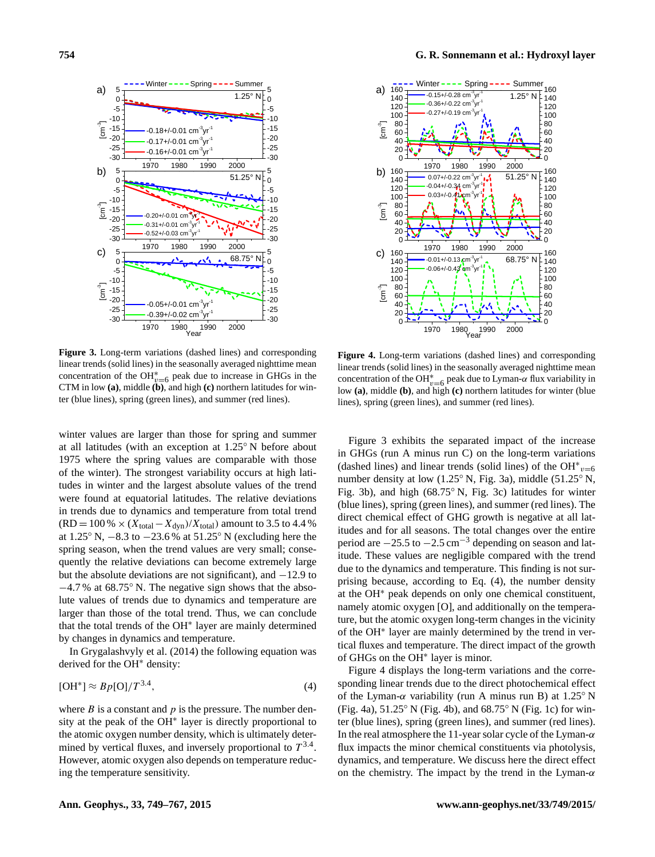

**Figure 3.** Long-term variations (dashed lines) and corresponding linear trends (solid lines) in the seasonally averaged nighttime mean concentration of the OH<sup>\*</sup><sub> $v=6$ </sub> peak due to increase in GHGs in the CTM in low **(a)**, middle **(b)**, and high **(c)** northern latitudes for winter (blue lines), spring (green lines), and summer (red lines).

winter values are larger than those for spring and summer at all latitudes (with an exception at 1.25◦ N before about 1975 where the spring values are comparable with those of the winter). The strongest variability occurs at high latitudes in winter and the largest absolute values of the trend were found at equatorial latitudes. The relative deviations in trends due to dynamics and temperature from total trend  $(RD = 100\% \times (X_{total} - X_{dyn})/X_{total})$  amount to 3.5 to 4.4 % at 1.25◦ N, −8.3 to −23.6 % at 51.25◦ N (excluding here the spring season, when the trend values are very small; consequently the relative deviations can become extremely large but the absolute deviations are not significant), and −12.9 to −4.7 % at 68.75◦ N. The negative sign shows that the absolute values of trends due to dynamics and temperature are larger than those of the total trend. Thus, we can conclude that the total trends of the OH<sup>∗</sup> layer are mainly determined by changes in dynamics and temperature.

In Grygalashvyly et al. (2014) the following equation was derived for the OH<sup>∗</sup> density:

$$
[OH^*] \approx Bp[O]/T^{3.4},\tag{4}
$$

where  $B$  is a constant and  $p$  is the pressure. The number density at the peak of the OH<sup>∗</sup> layer is directly proportional to the atomic oxygen number density, which is ultimately determined by vertical fluxes, and inversely proportional to  $T^{3.4}$ . However, atomic oxygen also depends on temperature reducing the temperature sensitivity.



**Figure 4.** Long-term variations (dashed lines) and corresponding linear trends (solid lines) in the seasonally averaged nighttime mean concentration of the OH<sup>\*</sup><sub>v=6</sub> peak due to Lyman- $\alpha$  flux variability in low **(a)**, middle **(b)**, and high **(c)** northern latitudes for winter (blue lines), spring (green lines), and summer (red lines).

Figure 3 exhibits the separated impact of the increase in GHGs (run A minus run C) on the long-term variations (dashed lines) and linear trends (solid lines) of the OH<sup>\*</sup> $v=6$ number density at low (1.25◦ N, Fig. 3a), middle (51.25◦ N, Fig. 3b), and high (68.75◦ N, Fig. 3c) latitudes for winter (blue lines), spring (green lines), and summer (red lines). The direct chemical effect of GHG growth is negative at all latitudes and for all seasons. The total changes over the entire period are  $-25.5$  to  $-2.5$  cm<sup>-3</sup> depending on season and latitude. These values are negligible compared with the trend due to the dynamics and temperature. This finding is not surprising because, according to Eq. (4), the number density at the OH<sup>∗</sup> peak depends on only one chemical constituent, namely atomic oxygen [O], and additionally on the temperature, but the atomic oxygen long-term changes in the vicinity of the OH<sup>∗</sup> layer are mainly determined by the trend in vertical fluxes and temperature. The direct impact of the growth of GHGs on the OH<sup>∗</sup> layer is minor.

Figure 4 displays the long-term variations and the corresponding linear trends due to the direct photochemical effect of the Lyman- $\alpha$  variability (run A minus run B) at 1.25 $\degree$  N (Fig. 4a),  $51.25°$  N (Fig. 4b), and  $68.75°$  N (Fig. 1c) for winter (blue lines), spring (green lines), and summer (red lines). In the real atmosphere the 11-year solar cycle of the Lyman- $\alpha$ flux impacts the minor chemical constituents via photolysis, dynamics, and temperature. We discuss here the direct effect on the chemistry. The impact by the trend in the Lyman- $\alpha$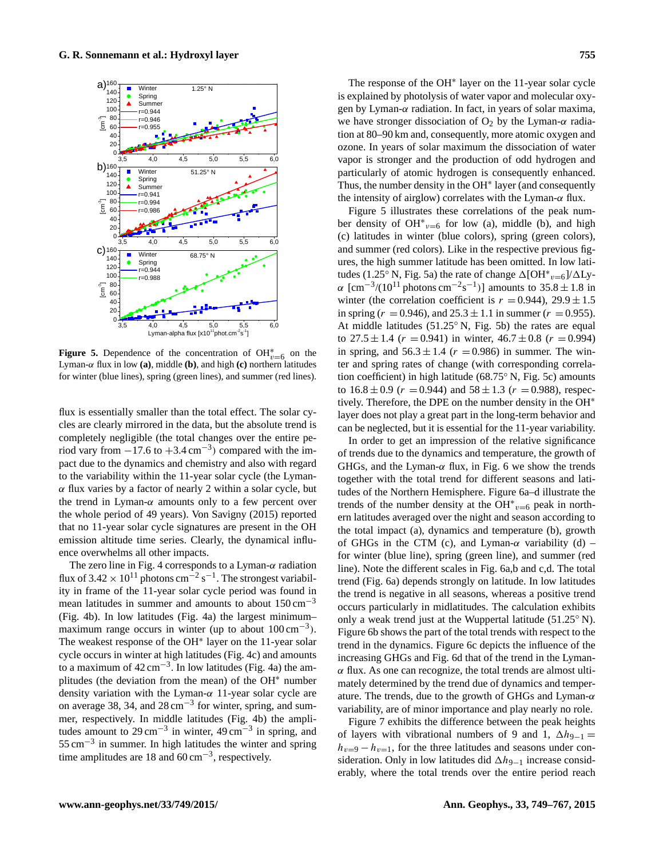

**Figure 5.** Dependence of the concentration of  $OH_{v=6}^{*}$  on the Lyman-α flux in low **(a)**, middle **(b)**, and high **(c)** northern latitudes for winter (blue lines), spring (green lines), and summer (red lines).

flux is essentially smaller than the total effect. The solar cycles are clearly mirrored in the data, but the absolute trend is completely negligible (the total changes over the entire period vary from  $-17.6$  to  $+3.4 \text{ cm}^{-3}$ ) compared with the impact due to the dynamics and chemistry and also with regard to the variability within the 11-year solar cycle (the Lyman- $\alpha$  flux varies by a factor of nearly 2 within a solar cycle, but the trend in Lyman- $\alpha$  amounts only to a few percent over the whole period of 49 years). Von Savigny (2015) reported that no 11-year solar cycle signatures are present in the OH emission altitude time series. Clearly, the dynamical influence overwhelms all other impacts.

The zero line in Fig. 4 corresponds to a Lyman- $\alpha$  radiation flux of  $3.42 \times 10^{11}$  photons cm<sup>-2</sup> s<sup>-1</sup>. The strongest variability in frame of the 11-year solar cycle period was found in mean latitudes in summer and amounts to about  $150 \text{ cm}^{-3}$ (Fig. 4b). In low latitudes (Fig. 4a) the largest minimum– maximum range occurs in winter (up to about  $100 \text{ cm}^{-3}$ ). The weakest response of the OH<sup>∗</sup> layer on the 11-year solar cycle occurs in winter at high latitudes (Fig. 4c) and amounts to a maximum of  $42 \text{ cm}^{-3}$ . In low latitudes (Fig. 4a) the amplitudes (the deviation from the mean) of the OH<sup>∗</sup> number density variation with the Lyman- $\alpha$  11-year solar cycle are on average 38, 34, and 28 cm<sup>-3</sup> for winter, spring, and summer, respectively. In middle latitudes (Fig. 4b) the amplitudes amount to  $29 \text{ cm}^{-3}$  in winter,  $49 \text{ cm}^{-3}$  in spring, and 55 cm−<sup>3</sup> in summer. In high latitudes the winter and spring time amplitudes are 18 and  $60 \text{ cm}^{-3}$ , respectively.

The response of the OH<sup>∗</sup> layer on the 11-year solar cycle is explained by photolysis of water vapor and molecular oxygen by Lyman- $\alpha$  radiation. In fact, in years of solar maxima, we have stronger dissociation of  $O_2$  by the Lyman- $\alpha$  radiation at 80–90 km and, consequently, more atomic oxygen and ozone. In years of solar maximum the dissociation of water vapor is stronger and the production of odd hydrogen and particularly of atomic hydrogen is consequently enhanced. Thus, the number density in the OH<sup>∗</sup> layer (and consequently the intensity of airglow) correlates with the Lyman- $\alpha$  flux.

Figure 5 illustrates these correlations of the peak number density of OH<sup>\*</sup> $v=6$  for low (a), middle (b), and high (c) latitudes in winter (blue colors), spring (green colors), and summer (red colors). Like in the respective previous figures, the high summer latitude has been omitted. In low latitudes (1.25° N, Fig. 5a) the rate of change  $\Delta[\text{OH}^*_{v=6}]/\Delta\text{Ly}$  $\alpha$  [cm<sup>-3</sup>/(10<sup>11</sup> photons cm<sup>-2</sup>s<sup>-1</sup>)] amounts to 35.8 ± 1.8 in winter (the correlation coefficient is  $r = 0.944$ ),  $29.9 \pm 1.5$ in spring ( $r = 0.946$ ), and  $25.3 \pm 1.1$  in summer ( $r = 0.955$ ). At middle latitudes (51.25◦ N, Fig. 5b) the rates are equal to  $27.5 \pm 1.4$  ( $r = 0.941$ ) in winter,  $46.7 \pm 0.8$  ( $r = 0.994$ ) in spring, and  $56.3 \pm 1.4$  ( $r = 0.986$ ) in summer. The winter and spring rates of change (with corresponding correlation coefficient) in high latitude (68.75◦ N, Fig. 5c) amounts to  $16.8 \pm 0.9$  ( $r = 0.944$ ) and  $58 \pm 1.3$  ( $r = 0.988$ ), respectively. Therefore, the DPE on the number density in the OH<sup>∗</sup> layer does not play a great part in the long-term behavior and can be neglected, but it is essential for the 11-year variability.

In order to get an impression of the relative significance of trends due to the dynamics and temperature, the growth of GHGs, and the Lyman- $\alpha$  flux, in Fig. 6 we show the trends together with the total trend for different seasons and latitudes of the Northern Hemisphere. Figure 6a–d illustrate the trends of the number density at the  $OH^*{}_{v=6}$  peak in northern latitudes averaged over the night and season according to the total impact (a), dynamics and temperature (b), growth of GHGs in the CTM (c), and Lyman- $\alpha$  variability (d) – for winter (blue line), spring (green line), and summer (red line). Note the different scales in Fig. 6a,b and c,d. The total trend (Fig. 6a) depends strongly on latitude. In low latitudes the trend is negative in all seasons, whereas a positive trend occurs particularly in midlatitudes. The calculation exhibits only a weak trend just at the Wuppertal latitude (51.25◦ N). Figure 6b shows the part of the total trends with respect to the trend in the dynamics. Figure 6c depicts the influence of the increasing GHGs and Fig. 6d that of the trend in the Lyman- $\alpha$  flux. As one can recognize, the total trends are almost ultimately determined by the trend due of dynamics and temperature. The trends, due to the growth of GHGs and Lyman- $\alpha$ variability, are of minor importance and play nearly no role.

Figure 7 exhibits the difference between the peak heights of layers with vibrational numbers of 9 and 1,  $\Delta h_{9-1} =$  $h_{v=9} - h_{v=1}$ , for the three latitudes and seasons under consideration. Only in low latitudes did  $\Delta h_{9-1}$  increase considerably, where the total trends over the entire period reach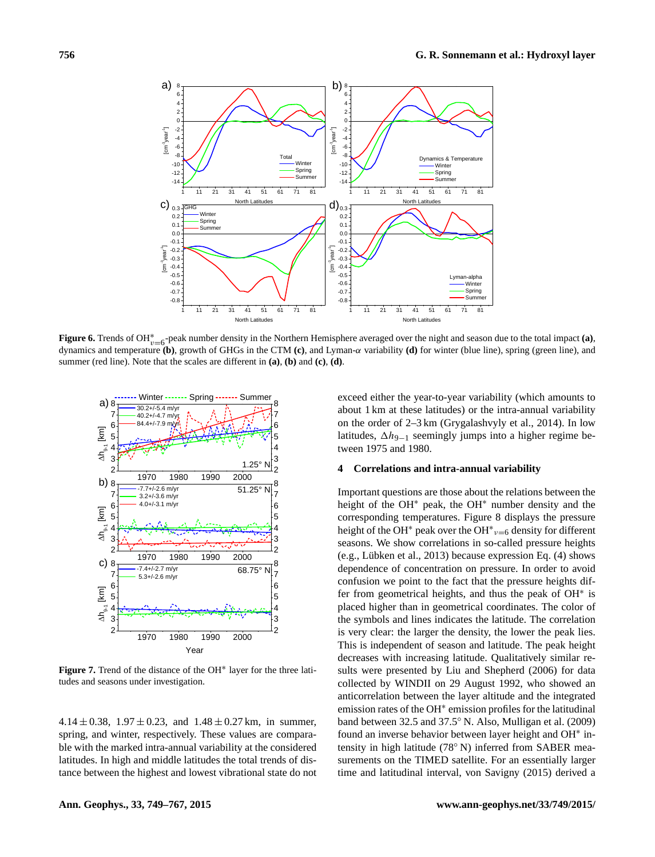

**Figure 6.** Trends of OH<sup>\*</sup><sub>v=6</sub>-peak number density in the Northern Hemisphere averaged over the night and season due to the total impact **(a)**, dynamics and temperature **(b)**, growth of GHGs in the CTM **(c)**, and Lyman-α variability **(d)** for winter (blue line), spring (green line), and summer (red line). Note that the scales are different in **(a)**, **(b)** and **(c)**, **(d)**.



**Figure 7.** Trend of the distance of the OH<sup>∗</sup> layer for the three latitudes and seasons under investigation.

 $4.14 \pm 0.38$ ,  $1.97 \pm 0.23$ , and  $1.48 \pm 0.27$  km, in summer, spring, and winter, respectively. These values are comparable with the marked intra-annual variability at the considered latitudes. In high and middle latitudes the total trends of distance between the highest and lowest vibrational state do not exceed either the year-to-year variability (which amounts to about 1 km at these latitudes) or the intra-annual variability on the order of 2–3 km (Grygalashvyly et al., 2014). In low latitudes,  $\Delta h_{9-1}$  seemingly jumps into a higher regime between 1975 and 1980.

## **4 Correlations and intra-annual variability**

Important questions are those about the relations between the height of the OH<sup>∗</sup> peak, the OH<sup>∗</sup> number density and the corresponding temperatures. Figure 8 displays the pressure height of the OH<sup>\*</sup> peak over the OH<sup>\*</sup><sub>v=6</sub> density for different seasons. We show correlations in so-called pressure heights (e.g., Lübken et al., 2013) because expression Eq. (4) shows dependence of concentration on pressure. In order to avoid confusion we point to the fact that the pressure heights differ from geometrical heights, and thus the peak of OH<sup>∗</sup> is placed higher than in geometrical coordinates. The color of the symbols and lines indicates the latitude. The correlation is very clear: the larger the density, the lower the peak lies. This is independent of season and latitude. The peak height decreases with increasing latitude. Qualitatively similar results were presented by Liu and Shepherd (2006) for data collected by WINDII on 29 August 1992, who showed an anticorrelation between the layer altitude and the integrated emission rates of the OH<sup>∗</sup> emission profiles for the latitudinal band between 32.5 and 37.5◦ N. Also, Mulligan et al. (2009) found an inverse behavior between layer height and OH<sup>∗</sup> intensity in high latitude (78◦ N) inferred from SABER measurements on the TIMED satellite. For an essentially larger time and latitudinal interval, von Savigny (2015) derived a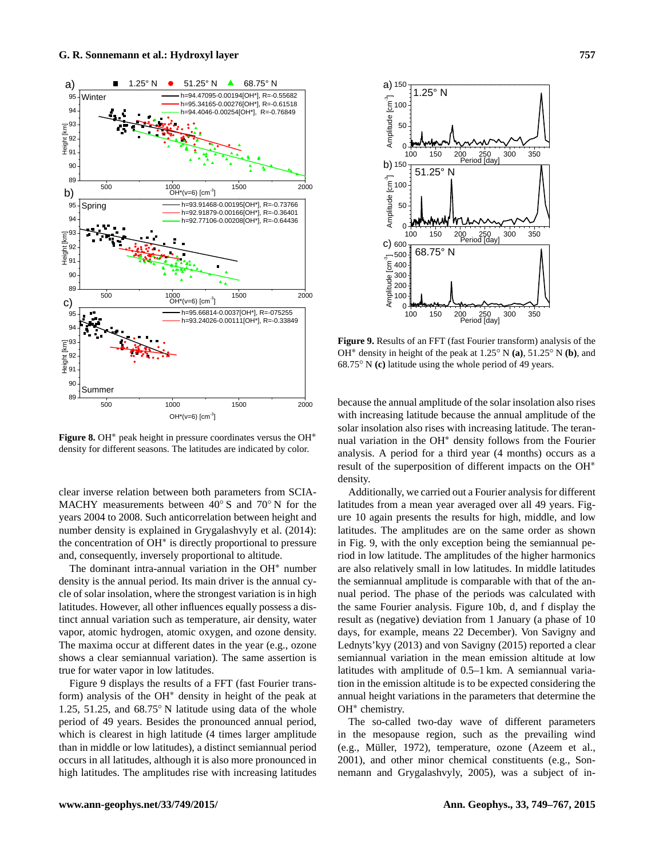

**Figure 8.** OH<sup>∗</sup> peak height in pressure coordinates versus the OH<sup>∗</sup> density for different seasons. The latitudes are indicated by color.

clear inverse relation between both parameters from SCIA-MACHY measurements between 40◦ S and 70◦ N for the years 2004 to 2008. Such anticorrelation between height and number density is explained in Grygalashvyly et al. (2014): the concentration of OH<sup>∗</sup> is directly proportional to pressure and, consequently, inversely proportional to altitude.

The dominant intra-annual variation in the OH<sup>∗</sup> number density is the annual period. Its main driver is the annual cycle of solar insolation, where the strongest variation is in high latitudes. However, all other influences equally possess a distinct annual variation such as temperature, air density, water vapor, atomic hydrogen, atomic oxygen, and ozone density. The maxima occur at different dates in the year (e.g., ozone shows a clear semiannual variation). The same assertion is true for water vapor in low latitudes.

Figure 9 displays the results of a FFT (fast Fourier transform) analysis of the OH<sup>∗</sup> density in height of the peak at 1.25, 51.25, and 68.75◦ N latitude using data of the whole period of 49 years. Besides the pronounced annual period, which is clearest in high latitude (4 times larger amplitude than in middle or low latitudes), a distinct semiannual period occurs in all latitudes, although it is also more pronounced in high latitudes. The amplitudes rise with increasing latitudes



**Figure 9.** Results of an FFT (fast Fourier transform) analysis of the OH<sup>∗</sup> density in height of the peak at 1.25◦ N **(a)**, 51.25◦ N **(b)**, and 68.75◦ N **(c)** latitude using the whole period of 49 years.

because the annual amplitude of the solar insolation also rises with increasing latitude because the annual amplitude of the solar insolation also rises with increasing latitude. The terannual variation in the OH<sup>∗</sup> density follows from the Fourier analysis. A period for a third year (4 months) occurs as a result of the superposition of different impacts on the OH<sup>∗</sup> density.

Additionally, we carried out a Fourier analysis for different latitudes from a mean year averaged over all 49 years. Figure 10 again presents the results for high, middle, and low latitudes. The amplitudes are on the same order as shown in Fig. 9, with the only exception being the semiannual period in low latitude. The amplitudes of the higher harmonics are also relatively small in low latitudes. In middle latitudes the semiannual amplitude is comparable with that of the annual period. The phase of the periods was calculated with the same Fourier analysis. Figure 10b, d, and f display the result as (negative) deviation from 1 January (a phase of 10 days, for example, means 22 December). Von Savigny and Lednyts'kyy (2013) and von Savigny (2015) reported a clear semiannual variation in the mean emission altitude at low latitudes with amplitude of 0.5–1 km. A semiannual variation in the emission altitude is to be expected considering the annual height variations in the parameters that determine the OH<sup>∗</sup> chemistry.

The so-called two-day wave of different parameters in the mesopause region, such as the prevailing wind (e.g., Müller, 1972), temperature, ozone (Azeem et al., 2001), and other minor chemical constituents (e.g., Sonnemann and Grygalashvyly, 2005), was a subject of in-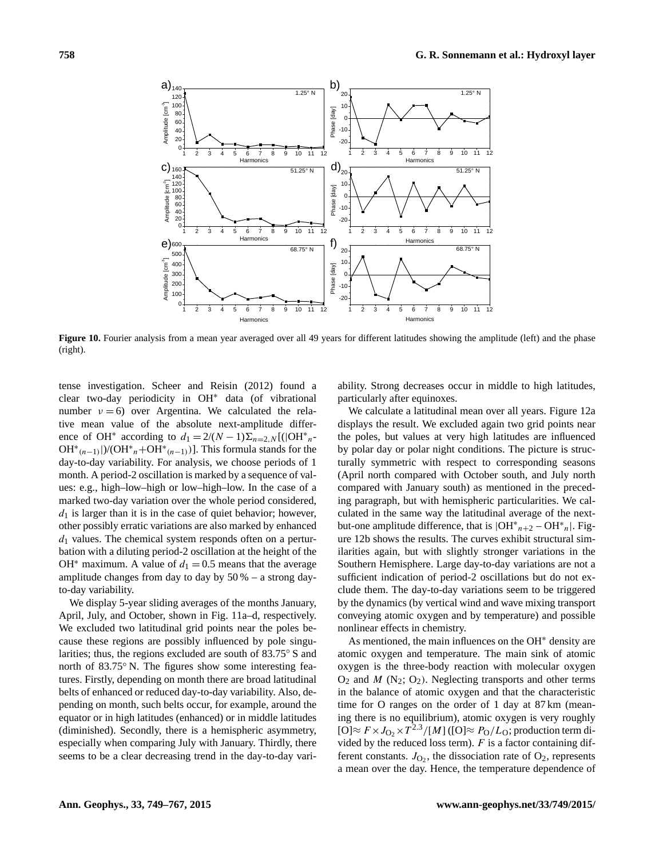

Figure 10. Fourier analysis from a mean year averaged over all 49 years for different latitudes showing the amplitude (left) and the phase (right).

tense investigation. Scheer and Reisin (2012) found a clear two-day periodicity in OH<sup>∗</sup> data (of vibrational number  $v = 6$ ) over Argentina. We calculated the relative mean value of the absolute next-amplitude difference of OH<sup>\*</sup> according to  $d_1 = 2/(N-1)\sum_{n=2,N}^{\infty} [(|\text{OH}^*_{n-1})|]$  $OH^*(n-1)$ |)/( $OH^*n+OH^*(n-1)$ )]. This formula stands for the day-to-day variability. For analysis, we choose periods of 1 month. A period-2 oscillation is marked by a sequence of values: e.g., high–low–high or low–high–low. In the case of a marked two-day variation over the whole period considered,  $d_1$  is larger than it is in the case of quiet behavior; however, other possibly erratic variations are also marked by enhanced  $d_1$  values. The chemical system responds often on a perturbation with a diluting period-2 oscillation at the height of the OH<sup>\*</sup> maximum. A value of  $d_1 = 0.5$  means that the average amplitude changes from day to day by  $50\%$  – a strong dayto-day variability.

We display 5-year sliding averages of the months January, April, July, and October, shown in Fig. 11a–d, respectively. We excluded two latitudinal grid points near the poles because these regions are possibly influenced by pole singularities; thus, the regions excluded are south of 83.75◦ S and north of 83.75° N. The figures show some interesting features. Firstly, depending on month there are broad latitudinal belts of enhanced or reduced day-to-day variability. Also, depending on month, such belts occur, for example, around the equator or in high latitudes (enhanced) or in middle latitudes (diminished). Secondly, there is a hemispheric asymmetry, especially when comparing July with January. Thirdly, there seems to be a clear decreasing trend in the day-to-day vari-

ability. Strong decreases occur in middle to high latitudes, particularly after equinoxes.

We calculate a latitudinal mean over all years. Figure 12a displays the result. We excluded again two grid points near the poles, but values at very high latitudes are influenced by polar day or polar night conditions. The picture is structurally symmetric with respect to corresponding seasons (April north compared with October south, and July north compared with January south) as mentioned in the preceding paragraph, but with hemispheric particularities. We calculated in the same way the latitudinal average of the nextbut-one amplitude difference, that is  $|OH^*_{n+2} - OH^*_{n}|$ . Figure 12b shows the results. The curves exhibit structural similarities again, but with slightly stronger variations in the Southern Hemisphere. Large day-to-day variations are not a sufficient indication of period-2 oscillations but do not exclude them. The day-to-day variations seem to be triggered by the dynamics (by vertical wind and wave mixing transport conveying atomic oxygen and by temperature) and possible nonlinear effects in chemistry.

As mentioned, the main influences on the OH<sup>∗</sup> density are atomic oxygen and temperature. The main sink of atomic oxygen is the three-body reaction with molecular oxygen  $O_2$  and M (N<sub>2</sub>;  $O_2$ ). Neglecting transports and other terms in the balance of atomic oxygen and that the characteristic time for O ranges on the order of 1 day at 87 km (meaning there is no equilibrium), atomic oxygen is very roughly  $[O] \approx F \times J_{O_2} \times T^{2.3} / [M]$  ([O] $\approx P_O / L_O$ ; production term divided by the reduced loss term).  $F$  is a factor containing different constants.  $J_{\text{O}_2}$ , the dissociation rate of  $\text{O}_2$ , represents a mean over the day. Hence, the temperature dependence of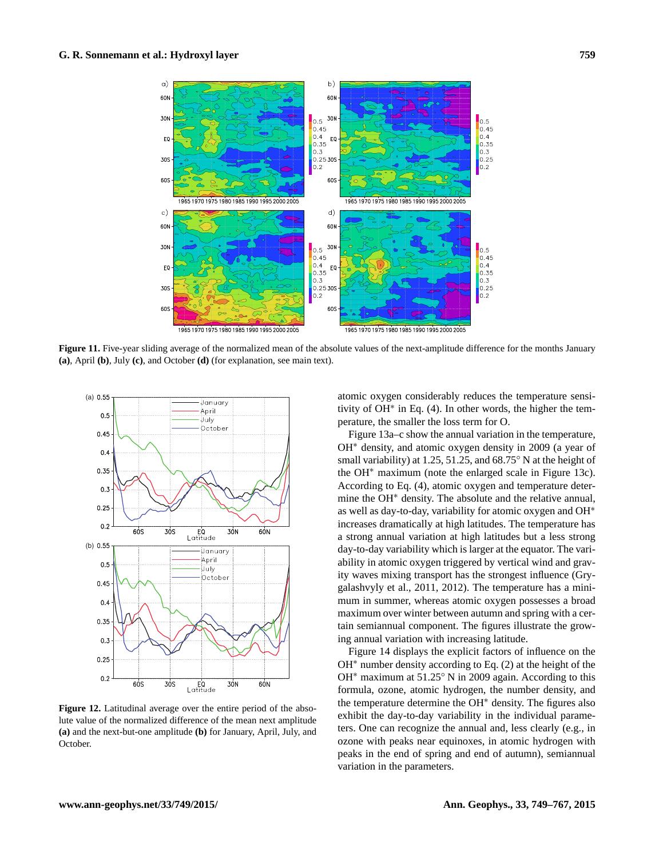

**Figure 11.** Five-year sliding average of the normalized mean of the absolute values of the next-amplitude difference for the months January **(a)**, April **(b)**, July **(c)**, and October **(d)** (for explanation, see main text).



**Figure 12.** Latitudinal average over the entire period of the absolute value of the normalized difference of the mean next amplitude **(a)** and the next-but-one amplitude **(b)** for January, April, July, and October.

atomic oxygen considerably reduces the temperature sensitivity of OH<sup>∗</sup> in Eq. (4). In other words, the higher the temperature, the smaller the loss term for O.

Figure 13a–c show the annual variation in the temperature, OH<sup>∗</sup> density, and atomic oxygen density in 2009 (a year of small variability) at 1.25, 51.25, and 68.75° N at the height of the OH<sup>∗</sup> maximum (note the enlarged scale in Figure 13c). According to Eq. (4), atomic oxygen and temperature determine the OH<sup>∗</sup> density. The absolute and the relative annual, as well as day-to-day, variability for atomic oxygen and OH<sup>∗</sup> increases dramatically at high latitudes. The temperature has a strong annual variation at high latitudes but a less strong day-to-day variability which is larger at the equator. The variability in atomic oxygen triggered by vertical wind and gravity waves mixing transport has the strongest influence (Grygalashvyly et al., 2011, 2012). The temperature has a minimum in summer, whereas atomic oxygen possesses a broad maximum over winter between autumn and spring with a certain semiannual component. The figures illustrate the growing annual variation with increasing latitude.

Figure 14 displays the explicit factors of influence on the OH<sup>∗</sup> number density according to Eq. (2) at the height of the OH<sup>∗</sup> maximum at 51.25◦ N in 2009 again. According to this formula, ozone, atomic hydrogen, the number density, and the temperature determine the OH<sup>∗</sup> density. The figures also exhibit the day-to-day variability in the individual parameters. One can recognize the annual and, less clearly (e.g., in ozone with peaks near equinoxes, in atomic hydrogen with peaks in the end of spring and end of autumn), semiannual variation in the parameters.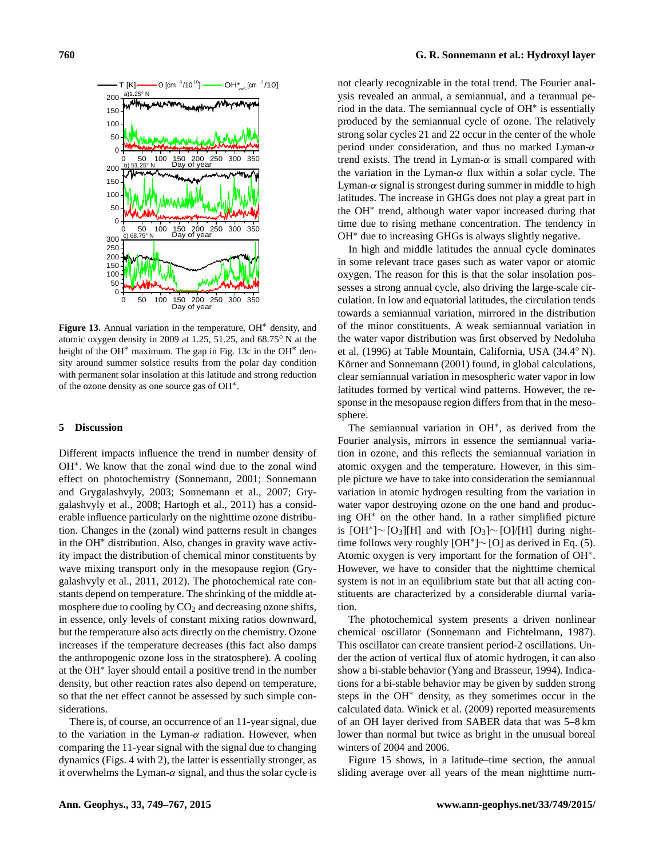

**Figure 13.** Annual variation in the temperature, OH<sup>∗</sup> density, and atomic oxygen density in 2009 at 1.25, 51.25, and 68.75◦ N at the height of the OH<sup>∗</sup> maximum. The gap in Fig. 13c in the OH<sup>∗</sup> density around summer solstice results from the polar day condition with permanent solar insolation at this latitude and strong reduction of the ozone density as one source gas of OH<sup>∗</sup> .

#### **5 Discussion**

Different impacts influence the trend in number density of OH<sup>∗</sup> . We know that the zonal wind due to the zonal wind effect on photochemistry (Sonnemann, 2001; Sonnemann and Grygalashvyly, 2003; Sonnemann et al., 2007; Grygalashvyly et al., 2008; Hartogh et al., 2011) has a considerable influence particularly on the nighttime ozone distribution. Changes in the (zonal) wind patterns result in changes in the OH<sup>∗</sup> distribution. Also, changes in gravity wave activity impact the distribution of chemical minor constituents by wave mixing transport only in the mesopause region (Grygalashvyly et al., 2011, 2012). The photochemical rate constants depend on temperature. The shrinking of the middle atmosphere due to cooling by  $CO<sub>2</sub>$  and decreasing ozone shifts, in essence, only levels of constant mixing ratios downward, but the temperature also acts directly on the chemistry. Ozone increases if the temperature decreases (this fact also damps the anthropogenic ozone loss in the stratosphere). A cooling at the OH<sup>∗</sup> layer should entail a positive trend in the number density, but other reaction rates also depend on temperature, so that the net effect cannot be assessed by such simple considerations.

There is, of course, an occurrence of an 11-year signal, due to the variation in the Lyman- $\alpha$  radiation. However, when comparing the 11-year signal with the signal due to changing dynamics (Figs. 4 with 2), the latter is essentially stronger, as it overwhelms the Lyman- $\alpha$  signal, and thus the solar cycle is not clearly recognizable in the total trend. The Fourier analysis revealed an annual, a semiannual, and a terannual period in the data. The semiannual cycle of OH<sup>∗</sup> is essentially produced by the semiannual cycle of ozone. The relatively strong solar cycles 21 and 22 occur in the center of the whole period under consideration, and thus no marked Lyman- $\alpha$ trend exists. The trend in Lyman- $\alpha$  is small compared with the variation in the Lyman- $\alpha$  flux within a solar cycle. The Lyman- $\alpha$  signal is strongest during summer in middle to high latitudes. The increase in GHGs does not play a great part in the OH<sup>∗</sup> trend, although water vapor increased during that time due to rising methane concentration. The tendency in OH<sup>∗</sup> due to increasing GHGs is always slightly negative.

In high and middle latitudes the annual cycle dominates in some relevant trace gases such as water vapor or atomic oxygen. The reason for this is that the solar insolation possesses a strong annual cycle, also driving the large-scale circulation. In low and equatorial latitudes, the circulation tends towards a semiannual variation, mirrored in the distribution of the minor constituents. A weak semiannual variation in the water vapor distribution was first observed by Nedoluha et al. (1996) at Table Mountain, California, USA (34.4◦ N). Körner and Sonnemann (2001) found, in global calculations, clear semiannual variation in mesospheric water vapor in low latitudes formed by vertical wind patterns. However, the response in the mesopause region differs from that in the mesosphere.

The semiannual variation in OH<sup>∗</sup> , as derived from the Fourier analysis, mirrors in essence the semiannual variation in ozone, and this reflects the semiannual variation in atomic oxygen and the temperature. However, in this simple picture we have to take into consideration the semiannual variation in atomic hydrogen resulting from the variation in water vapor destroying ozone on the one hand and producing OH<sup>∗</sup> on the other hand. In a rather simplified picture is  $[OH^*]$ ∼ [O<sub>3</sub>][H] and with  $[O_3]$ ∼ [O]/[H] during nighttime follows very roughly  $[OH^*]$  ~  $[O]$  as derived in Eq. (5). Atomic oxygen is very important for the formation of OH<sup>∗</sup> . However, we have to consider that the nighttime chemical system is not in an equilibrium state but that all acting constituents are characterized by a considerable diurnal variation.

The photochemical system presents a driven nonlinear chemical oscillator (Sonnemann and Fichtelmann, 1987). This oscillator can create transient period-2 oscillations. Under the action of vertical flux of atomic hydrogen, it can also show a bi-stable behavior (Yang and Brasseur, 1994). Indications for a bi-stable behavior may be given by sudden strong steps in the OH<sup>∗</sup> density, as they sometimes occur in the calculated data. Winick et al. (2009) reported measurements of an OH layer derived from SABER data that was 5–8 km lower than normal but twice as bright in the unusual boreal winters of 2004 and 2006.

Figure 15 shows, in a latitude–time section, the annual sliding average over all years of the mean nighttime num-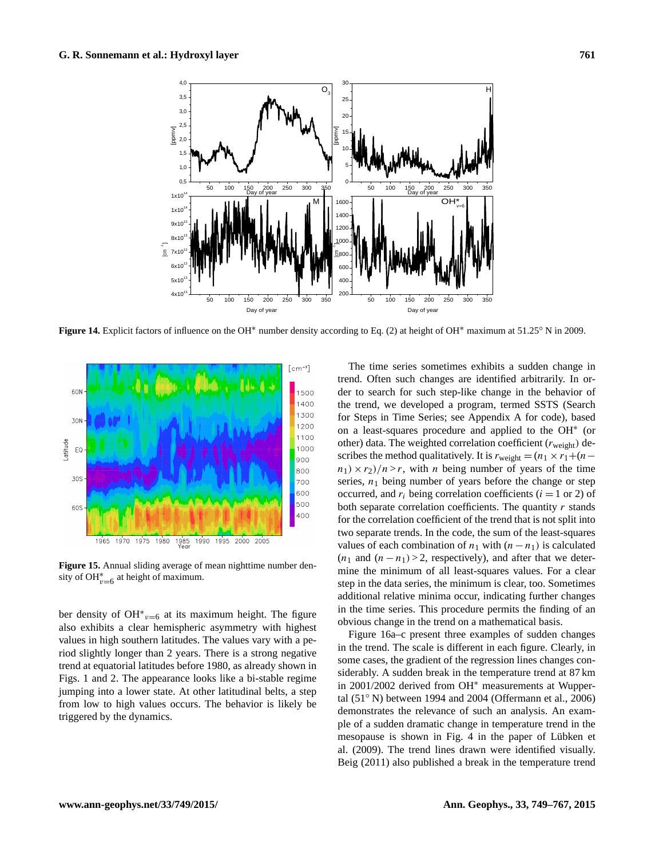

**Figure 14.** Explicit factors of influence on the OH<sup>∗</sup> number density according to Eq. (2) at height of OH<sup>∗</sup> maximum at 51.25◦ N in 2009.



**Figure 15.** Annual sliding average of mean nighttime number density of OH $_{v=6}^*$  at height of maximum.

ber density of OH<sup>\*</sup> $v=6$  at its maximum height. The figure also exhibits a clear hemispheric asymmetry with highest values in high southern latitudes. The values vary with a period slightly longer than 2 years. There is a strong negative trend at equatorial latitudes before 1980, as already shown in Figs. 1 and 2. The appearance looks like a bi-stable regime jumping into a lower state. At other latitudinal belts, a step from low to high values occurs. The behavior is likely be triggered by the dynamics.

The time series sometimes exhibits a sudden change in trend. Often such changes are identified arbitrarily. In order to search for such step-like change in the behavior of the trend, we developed a program, termed SSTS (Search for Steps in Time Series; see Appendix A for code), based on a least-squares procedure and applied to the OH<sup>∗</sup> (or other) data. The weighted correlation coefficient  $(r_{weight})$  describes the method qualitatively. It is  $r_{weight} = (n_1 \times r_1 + (n$  $n_1$ ) ×  $r_2$ )/n > r, with n being number of years of the time series,  $n_1$  being number of years before the change or step occurred, and  $r_i$  being correlation coefficients ( $i = 1$  or 2) of both separate correlation coefficients. The quantity  $r$  stands for the correlation coefficient of the trend that is not split into two separate trends. In the code, the sum of the least-squares values of each combination of  $n_1$  with  $(n - n_1)$  is calculated  $(n_1 \text{ and } (n - n_1) > 2$ , respectively), and after that we determine the minimum of all least-squares values. For a clear step in the data series, the minimum is clear, too. Sometimes additional relative minima occur, indicating further changes in the time series. This procedure permits the finding of an obvious change in the trend on a mathematical basis.

Figure 16a–c present three examples of sudden changes in the trend. The scale is different in each figure. Clearly, in some cases, the gradient of the regression lines changes considerably. A sudden break in the temperature trend at 87 km in 2001/2002 derived from OH<sup>∗</sup> measurements at Wuppertal (51◦ N) between 1994 and 2004 (Offermann et al., 2006) demonstrates the relevance of such an analysis. An example of a sudden dramatic change in temperature trend in the mesopause is shown in Fig. 4 in the paper of Lübken et al. (2009). The trend lines drawn were identified visually. Beig (2011) also published a break in the temperature trend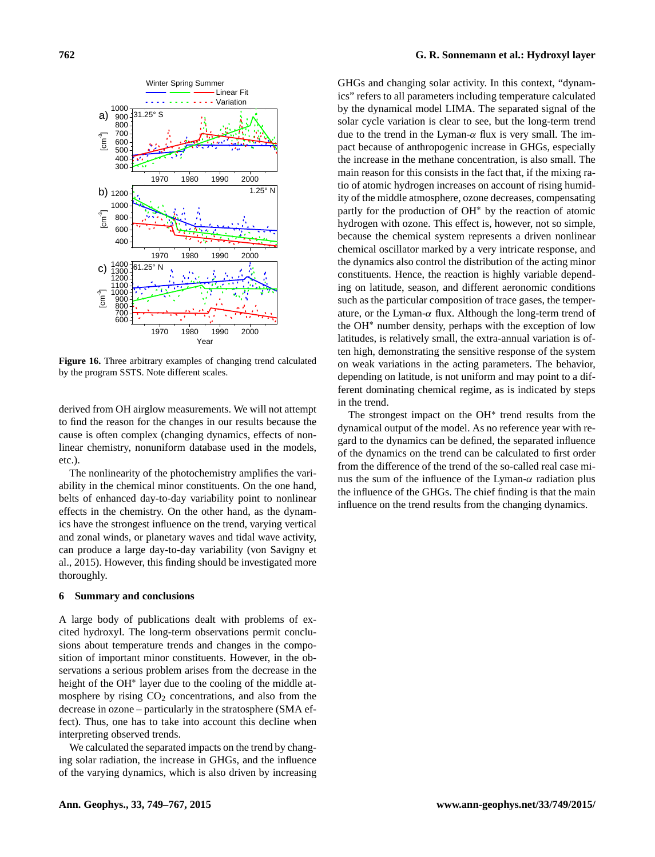

**Figure 16.** Three arbitrary examples of changing trend calculated by the program SSTS. Note different scales.

derived from OH airglow measurements. We will not attempt to find the reason for the changes in our results because the cause is often complex (changing dynamics, effects of nonlinear chemistry, nonuniform database used in the models, etc.).

The nonlinearity of the photochemistry amplifies the variability in the chemical minor constituents. On the one hand, belts of enhanced day-to-day variability point to nonlinear effects in the chemistry. On the other hand, as the dynamics have the strongest influence on the trend, varying vertical and zonal winds, or planetary waves and tidal wave activity, can produce a large day-to-day variability (von Savigny et al., 2015). However, this finding should be investigated more thoroughly.

## **6 Summary and conclusions**

A large body of publications dealt with problems of excited hydroxyl. The long-term observations permit conclusions about temperature trends and changes in the composition of important minor constituents. However, in the observations a serious problem arises from the decrease in the height of the OH<sup>\*</sup> layer due to the cooling of the middle atmosphere by rising  $CO<sub>2</sub>$  concentrations, and also from the decrease in ozone – particularly in the stratosphere (SMA effect). Thus, one has to take into account this decline when interpreting observed trends.

We calculated the separated impacts on the trend by changing solar radiation, the increase in GHGs, and the influence of the varying dynamics, which is also driven by increasing

GHGs and changing solar activity. In this context, "dynamics" refers to all parameters including temperature calculated by the dynamical model LIMA. The separated signal of the solar cycle variation is clear to see, but the long-term trend due to the trend in the Lyman-α flux is very small. The impact because of anthropogenic increase in GHGs, especially the increase in the methane concentration, is also small. The main reason for this consists in the fact that, if the mixing ratio of atomic hydrogen increases on account of rising humidity of the middle atmosphere, ozone decreases, compensating partly for the production of OH<sup>∗</sup> by the reaction of atomic hydrogen with ozone. This effect is, however, not so simple, because the chemical system represents a driven nonlinear chemical oscillator marked by a very intricate response, and the dynamics also control the distribution of the acting minor constituents. Hence, the reaction is highly variable depending on latitude, season, and different aeronomic conditions such as the particular composition of trace gases, the temperature, or the Lyman- $\alpha$  flux. Although the long-term trend of the OH<sup>∗</sup> number density, perhaps with the exception of low latitudes, is relatively small, the extra-annual variation is often high, demonstrating the sensitive response of the system on weak variations in the acting parameters. The behavior, depending on latitude, is not uniform and may point to a different dominating chemical regime, as is indicated by steps in the trend.

The strongest impact on the OH<sup>\*</sup> trend results from the dynamical output of the model. As no reference year with regard to the dynamics can be defined, the separated influence of the dynamics on the trend can be calculated to first order from the difference of the trend of the so-called real case minus the sum of the influence of the Lyman- $\alpha$  radiation plus the influence of the GHGs. The chief finding is that the main influence on the trend results from the changing dynamics.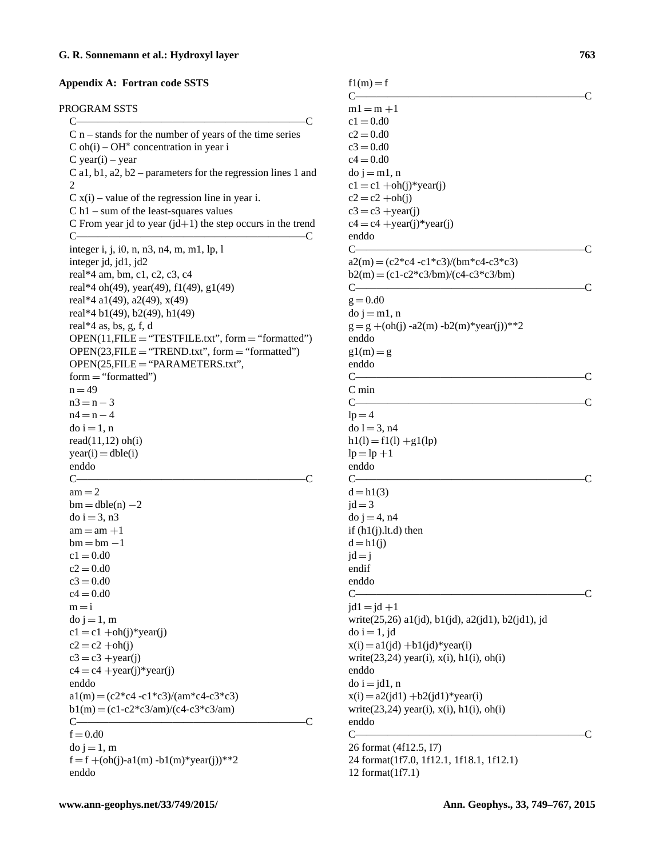#### **Appendix A: Fortran code SSTS**

## PROGRAM SSTS

C—————————————————————–C  $C$  n – stands for the number of years of the time series  $C$  oh(i) – OH<sup>\*</sup> concentration in year i C year(i) – year C a1, b1, a2, b2 – parameters for the regression lines 1 and  $\mathcal{D}_{\mathcal{L}}$  $C x(i)$  – value of the regression line in year i. C h1 – sum of the least-squares values C From year jd to year  $(id+1)$  the step occurs in the trend  $C \longrightarrow C$ integer i, j, i0, n, n3, n4, m, m1, lp, l integer jd, jd1, jd2 real\*4 am, bm, c1, c2, c3, c4 real\*4 oh(49), year(49), f1(49), g1(49) real\*4 a1(49), a2(49), x(49) real\*4 b1(49), b2(49), h1(49) real\*4 as, bs, g, f, d  $OPEN(11, FILE = "TESTFILE.txt", form = "formatted")$  $OPEN(23, FILE = "TREND.txt", form = "formatted")$ OPEN(25,FILE = "PARAMETERS.txt",  $form = "formatted")$  $n = 49$  $n3 = n - 3$  $n4 = n - 4$  $d$ o i = 1, n read(11,12) oh(i)  $year(i) = dble(i)$ enddo  $C \longrightarrow C$  $am = 2$  $bm =$  dble(n)  $-2$  $do$  i = 3, n3  $am = am +1$  $bm = bm -1$  $c1 = 0.00$  $c2 = 0. d0$  $c3 = 0. d0$  $c4 = 0. d0$  $m = i$  $do$  j = 1, m  $c1 = c1 + oh(i)$ <sup>\*</sup>year(j)  $c2 = c2 + oh(j)$  $c3 = c3 + \text{year}(i)$  $c4 = c4 + year(i)*year(i)$ enddo  $a1(m) = (c2 \cdot c4 - c1 \cdot c3)/(am \cdot c4 - c3 \cdot c3)$  $b1(m) = (c1 - c2 \cdot c3/am)/(c4 - c3 \cdot c3/am)$  $C \longrightarrow C$  $f = 0. d0$  $do$   $j = 1, m$  $f = f + (oh(j)-a1(m) - b1(m) * year(j)) *2$ enddo

 $f1(m) = f$  $C \longrightarrow C$  $m1 = m +1$  $c1 = 0. d0$  $c2 = 0. d0$  $c3 = 0. d0$  $c4 = 0. d0$  $do$  j = m1, n  $c1 = c1 + oh(i) *vear(i)$  $c2 = c2 + oh(i)$  $c3 = c3 + year(j)$  $c4 = c4 + \text{year}(i) * \text{year}(i)$ enddo  $C \longrightarrow C$  $a2(m) = (c2 \cdot c4 - c1 \cdot c3)/(bm \cdot c4 - c3 \cdot c3)$  $b2(m) = (c1-c2 \cdot c3/bm)/(c4-c3 \cdot c3/bm)$  $C \longrightarrow C$  $g = 0. d0$  $do$  j = m1, n  $g = g + (oh(j) - a2(m) - b2(m) * year(j)) *2$ enddo  $g1(m) = g$ enddo  $C \longrightarrow C$ C min  $C \longrightarrow C$  $lp = 4$  $do l = 3, n4$  $h1(l) = f1(l) + g1(lp)$  $lp = lp +1$ enddo  $C \longrightarrow C$  $d = h(3)$  $jd = 3$ do  $i = 4$ , n4 if  $(h1(i).lt.d)$  then  $d = h1(j)$  $id = i$ endif enddo  $C \longrightarrow C$  $id1 = id +1$ write(25,26) a1(jd), b1(jd), a2(jd1), b2(jd1), jd  $d$ o i = 1, jd  $x(i) = a1(jd) + b1(jd)$ \*year(i) write $(23,24)$  year(i),  $x(i)$ ,  $h1(i)$ ,  $oh(i)$ enddo  $do i = jd1, n$  $x(i) = a2(id1) + b2(id1) * year(i)$ write $(23,24)$  year(i),  $x(i)$ ,  $h1(i)$ ,  $oh(i)$ enddo  $C \longrightarrow C$ 26 format (4f12.5, I7) 24 format(1f7.0, 1f12.1, 1f18.1, 1f12.1) 12 format(1f7.1)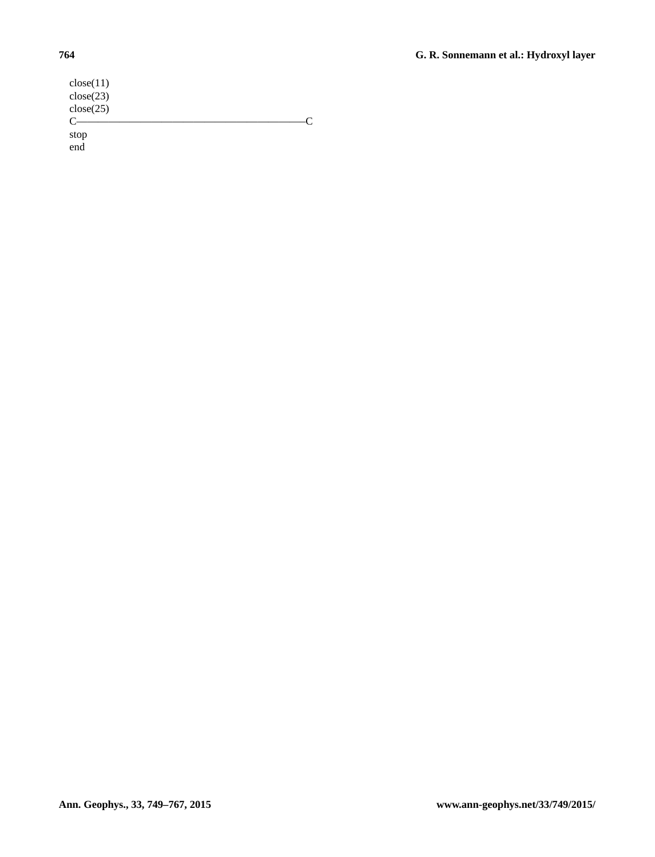| close(11) |  |
|-----------|--|
| close(23) |  |
| close(25) |  |
| $C -$     |  |
| stop      |  |
| end       |  |
|           |  |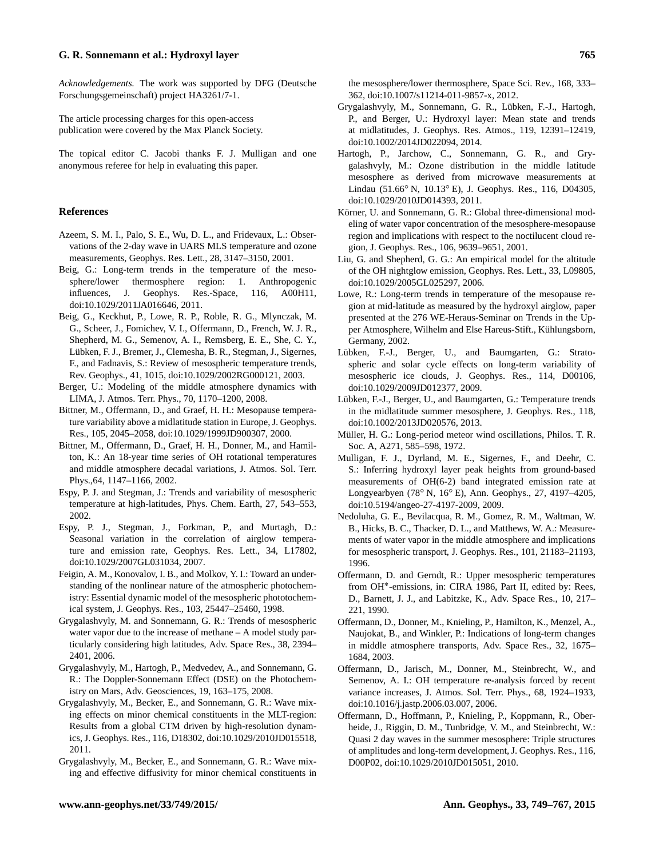*Acknowledgements.* The work was supported by DFG (Deutsche Forschungsgemeinschaft) project HA3261/7-1.

The article processing charges for this open-access publication were covered by the Max Planck Society.

The topical editor C. Jacobi thanks F. J. Mulligan and one anonymous referee for help in evaluating this paper.

## **References**

- Azeem, S. M. I., Palo, S. E., Wu, D. L., and Fridevaux, L.: Observations of the 2-day wave in UARS MLS temperature and ozone measurements, Geophys. Res. Lett., 28, 3147–3150, 2001.
- Beig, G.: Long-term trends in the temperature of the mesosphere/lower thermosphere region: 1. Anthropogenic influences, J. Geophys. Res.-Space, 116, A00H11, doi[:10.1029/2011JA016646,](http://dx.doi.org/10.1029/2011JA016646) 2011.
- Beig, G., Keckhut, P., Lowe, R. P., Roble, R. G., Mlynczak, M. G., Scheer, J., Fomichev, V. I., Offermann, D., French, W. J. R., Shepherd, M. G., Semenov, A. I., Remsberg, E. E., She, C. Y., Lübken, F. J., Bremer, J., Clemesha, B. R., Stegman, J., Sigernes, F., and Fadnavis, S.: Review of mesospheric temperature trends, Rev. Geophys., 41, 1015, doi[:10.1029/2002RG000121,](http://dx.doi.org/10.1029/2002RG000121) 2003.
- Berger, U.: Modeling of the middle atmosphere dynamics with LIMA, J. Atmos. Terr. Phys., 70, 1170–1200, 2008.
- Bittner, M., Offermann, D., and Graef, H. H.: Mesopause temperature variability above a midlatitude station in Europe, J. Geophys. Res., 105, 2045–2058, doi[:10.1029/1999JD900307,](http://dx.doi.org/10.1029/1999JD900307) 2000.
- Bittner, M., Offermann, D., Graef, H. H., Donner, M., and Hamilton, K.: An 18-year time series of OH rotational temperatures and middle atmosphere decadal variations, J. Atmos. Sol. Terr. Phys.,64, 1147–1166, 2002.
- Espy, P. J. and Stegman, J.: Trends and variability of mesospheric temperature at high-latitudes, Phys. Chem. Earth, 27, 543–553, 2002.
- Espy, P. J., Stegman, J., Forkman, P., and Murtagh, D.: Seasonal variation in the correlation of airglow temperature and emission rate, Geophys. Res. Lett., 34, L17802, doi[:10.1029/2007GL031034,](http://dx.doi.org/10.1029/2007GL031034) 2007.
- Feigin, A. M., Konovalov, I. B., and Molkov, Y. I.: Toward an understanding of the nonlinear nature of the atmospheric photochemistry: Essential dynamic model of the mesospheric phototochemical system, J. Geophys. Res., 103, 25447–25460, 1998.
- Grygalashvyly, M. and Sonnemann, G. R.: Trends of mesospheric water vapor due to the increase of methane – A model study particularly considering high latitudes, Adv. Space Res., 38, 2394– 2401, 2006.
- Grygalashvyly, M., Hartogh, P., Medvedev, A., and Sonnemann, G. R.: The Doppler-Sonnemann Effect (DSE) on the Photochemistry on Mars, Adv. Geosciences, 19, 163–175, 2008.
- Grygalashvyly, M., Becker, E., and Sonnemann, G. R.: Wave mixing effects on minor chemical constituents in the MLT-region: Results from a global CTM driven by high-resolution dynamics, J. Geophys. Res., 116, D18302, doi[:10.1029/2010JD015518,](http://dx.doi.org/10.1029/2010JD015518) 2011.
- Grygalashvyly, M., Becker, E., and Sonnemann, G. R.: Wave mixing and effective diffusivity for minor chemical constituents in

the mesosphere/lower thermosphere, Space Sci. Rev., 168, 333– 362, doi[:10.1007/s11214-011-9857-x,](http://dx.doi.org/10.1007/s11214-011-9857-x) 2012.

- Grygalashvyly, M., Sonnemann, G. R., Lübken, F.-J., Hartogh, P., and Berger, U.: Hydroxyl layer: Mean state and trends at midlatitudes, J. Geophys. Res. Atmos., 119, 12391–12419, doi[:10.1002/2014JD022094,](http://dx.doi.org/10.1002/2014JD022094) 2014.
- Hartogh, P., Jarchow, C., Sonnemann, G. R., and Grygalashvyly, M.: Ozone distribution in the middle latitude mesosphere as derived from microwave measurements at Lindau (51.66◦ N, 10.13◦ E), J. Geophys. Res., 116, D04305, doi[:10.1029/2010JD014393,](http://dx.doi.org/10.1029/2010JD014393) 2011.
- Körner, U. and Sonnemann, G. R.: Global three-dimensional modeling of water vapor concentration of the mesosphere-mesopause region and implications with respect to the noctilucent cloud region, J. Geophys. Res., 106, 9639–9651, 2001.
- Liu, G. and Shepherd, G. G.: An empirical model for the altitude of the OH nightglow emission, Geophys. Res. Lett., 33, L09805, doi[:10.1029/2005GL025297,](http://dx.doi.org/10.1029/2005GL025297) 2006.
- Lowe, R.: Long-term trends in temperature of the mesopause region at mid-latitude as measured by the hydroxyl airglow, paper presented at the 276 WE-Heraus-Seminar on Trends in the Upper Atmosphere, Wilhelm and Else Hareus-Stift., Kühlungsborn, Germany, 2002.
- Lübken, F.-J., Berger, U., and Baumgarten, G.: Stratospheric and solar cycle effects on long-term variability of mesospheric ice clouds, J. Geophys. Res., 114, D00106, doi[:10.1029/2009JD012377,](http://dx.doi.org/10.1029/2009JD012377) 2009.
- Lübken, F.-J., Berger, U., and Baumgarten, G.: Temperature trends in the midlatitude summer mesosphere, J. Geophys. Res., 118, doi[:10.1002/2013JD020576,](http://dx.doi.org/10.1002/2013JD020576) 2013.
- Müller, H. G.: Long-period meteor wind oscillations, Philos. T. R. Soc. A, A271, 585–598, 1972.
- Mulligan, F. J., Dyrland, M. E., Sigernes, F., and Deehr, C. S.: Inferring hydroxyl layer peak heights from ground-based measurements of OH(6-2) band integrated emission rate at Longyearbyen (78◦ N, 16◦ E), Ann. Geophys., 27, 4197–4205, doi[:10.5194/angeo-27-4197-2009,](http://dx.doi.org/10.5194/angeo-27-4197-2009) 2009.
- Nedoluha, G. E., Bevilacqua, R. M., Gomez, R. M., Waltman, W. B., Hicks, B. C., Thacker, D. L., and Matthews, W. A.: Measurements of water vapor in the middle atmosphere and implications for mesospheric transport, J. Geophys. Res., 101, 21183–21193, 1996.
- Offermann, D. and Gerndt, R.: Upper mesospheric temperatures from OH<sup>∗</sup> -emissions, in: CIRA 1986, Part II, edited by: Rees, D., Barnett, J. J., and Labitzke, K., Adv. Space Res., 10, 217– 221, 1990.
- Offermann, D., Donner, M., Knieling, P., Hamilton, K., Menzel, A., Naujokat, B., and Winkler, P.: Indications of long-term changes in middle atmosphere transports, Adv. Space Res., 32, 1675– 1684, 2003.
- Offermann, D., Jarisch, M., Donner, M., Steinbrecht, W., and Semenov, A. I.: OH temperature re-analysis forced by recent variance increases, J. Atmos. Sol. Terr. Phys., 68, 1924–1933, doi[:10.1016/j.jastp.2006.03.007,](http://dx.doi.org/10.1016/j.jastp.2006.03.007) 2006.
- Offermann, D., Hoffmann, P., Knieling, P., Koppmann, R., Oberheide, J., Riggin, D. M., Tunbridge, V. M., and Steinbrecht, W.: Quasi 2 day waves in the summer mesosphere: Triple structures of amplitudes and long-term development, J. Geophys. Res., 116, D00P02, doi[:10.1029/2010JD015051,](http://dx.doi.org/10.1029/2010JD015051) 2010.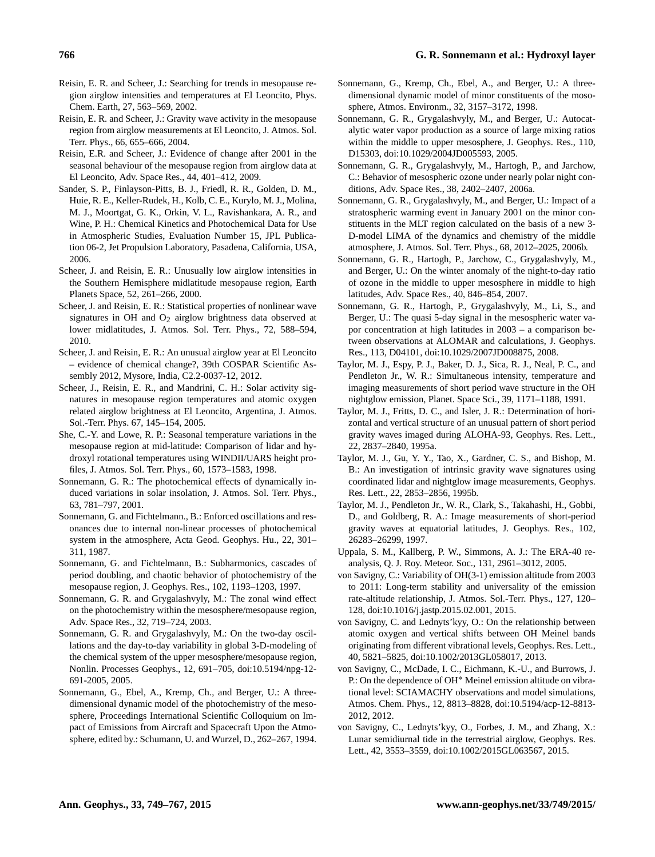- Reisin, E. R. and Scheer, J.: Searching for trends in mesopause region airglow intensities and temperatures at El Leoncito, Phys. Chem. Earth, 27, 563–569, 2002.
- Reisin, E. R. and Scheer, J.: Gravity wave activity in the mesopause region from airglow measurements at El Leoncito, J. Atmos. Sol. Terr. Phys., 66, 655–666, 2004.
- Reisin, E.R. and Scheer, J.: Evidence of change after 2001 in the seasonal behaviour of the mesopause region from airglow data at El Leoncito, Adv. Space Res., 44, 401–412, 2009.
- Sander, S. P., Finlayson-Pitts, B. J., Friedl, R. R., Golden, D. M., Huie, R. E., Keller-Rudek, H., Kolb, C. E., Kurylo, M. J., Molina, M. J., Moortgat, G. K., Orkin, V. L., Ravishankara, A. R., and Wine, P. H.: Chemical Kinetics and Photochemical Data for Use in Atmospheric Studies, Evaluation Number 15, JPL Publication 06-2, Jet Propulsion Laboratory, Pasadena, California, USA, 2006.
- Scheer, J. and Reisin, E. R.: Unusually low airglow intensities in the Southern Hemisphere midlatitude mesopause region, Earth Planets Space, 52, 261–266, 2000.
- Scheer, J. and Reisin, E. R.: Statistical properties of nonlinear wave signatures in OH and  $O_2$  airglow brightness data observed at lower midlatitudes, J. Atmos. Sol. Terr. Phys., 72, 588–594, 2010.
- Scheer, J. and Reisin, E. R.: An unusual airglow year at El Leoncito – evidence of chemical change?, 39th COSPAR Scientific Assembly 2012, Mysore, India, C2.2-0037-12, 2012.
- Scheer, J., Reisin, E. R., and Mandrini, C. H.: Solar activity signatures in mesopause region temperatures and atomic oxygen related airglow brightness at El Leoncito, Argentina, J. Atmos. Sol.-Terr. Phys. 67, 145–154, 2005.
- She, C.-Y. and Lowe, R. P.: Seasonal temperature variations in the mesopause region at mid-latitude: Comparison of lidar and hydroxyl rotational temperatures using WINDII/UARS height profiles, J. Atmos. Sol. Terr. Phys., 60, 1573–1583, 1998.
- Sonnemann, G. R.: The photochemical effects of dynamically induced variations in solar insolation, J. Atmos. Sol. Terr. Phys., 63, 781–797, 2001.
- Sonnemann, G. and Fichtelmann., B.: Enforced oscillations and resonances due to internal non-linear processes of photochemical system in the atmosphere, Acta Geod. Geophys. Hu., 22, 301– 311, 1987.
- Sonnemann, G. and Fichtelmann, B.: Subharmonics, cascades of period doubling, and chaotic behavior of photochemistry of the mesopause region, J. Geophys. Res., 102, 1193–1203, 1997.
- Sonnemann, G. R. and Grygalashvyly, M.: The zonal wind effect on the photochemistry within the mesosphere/mesopause region, Adv. Space Res., 32, 719–724, 2003.
- Sonnemann, G. R. and Grygalashvyly, M.: On the two-day oscillations and the day-to-day variability in global 3-D-modeling of the chemical system of the upper mesosphere/mesopause region, Nonlin. Processes Geophys., 12, 691–705, doi[:10.5194/npg-12-](http://dx.doi.org/10.5194/npg-12-691-2005) [691-2005,](http://dx.doi.org/10.5194/npg-12-691-2005) 2005.
- Sonnemann, G., Ebel, A., Kremp, Ch., and Berger, U.: A threedimensional dynamic model of the photochemistry of the mesosphere, Proceedings International Scientific Colloquium on Impact of Emissions from Aircraft and Spacecraft Upon the Atmosphere, edited by.: Schumann, U. and Wurzel, D., 262–267, 1994.
- Sonnemann, G., Kremp, Ch., Ebel, A., and Berger, U.: A threedimensional dynamic model of minor constituents of the mososphere, Atmos. Environm., 32, 3157–3172, 1998.
- Sonnemann, G. R., Grygalashvyly, M., and Berger, U.: Autocatalytic water vapor production as a source of large mixing ratios within the middle to upper mesosphere, J. Geophys. Res., 110, D15303, doi[:10.1029/2004JD005593,](http://dx.doi.org/10.1029/2004JD005593) 2005.
- Sonnemann, G. R., Grygalashvyly, M., Hartogh, P., and Jarchow, C.: Behavior of mesospheric ozone under nearly polar night conditions, Adv. Space Res., 38, 2402–2407, 2006a.
- Sonnemann, G. R., Grygalashvyly, M., and Berger, U.: Impact of a stratospheric warming event in January 2001 on the minor constituents in the MLT region calculated on the basis of a new 3- D-model LIMA of the dynamics and chemistry of the middle atmosphere, J. Atmos. Sol. Terr. Phys., 68, 2012–2025, 2006b.
- Sonnemann, G. R., Hartogh, P., Jarchow, C., Grygalashvyly, M., and Berger, U.: On the winter anomaly of the night-to-day ratio of ozone in the middle to upper mesosphere in middle to high latitudes, Adv. Space Res., 40, 846–854, 2007.
- Sonnemann, G. R., Hartogh, P., Grygalashvyly, M., Li, S., and Berger, U.: The quasi 5-day signal in the mesospheric water vapor concentration at high latitudes in 2003 – a comparison between observations at ALOMAR and calculations, J. Geophys. Res., 113, D04101, doi[:10.1029/2007JD008875,](http://dx.doi.org/10.1029/2007JD008875) 2008.
- Taylor, M. J., Espy, P. J., Baker, D. J., Sica, R. J., Neal, P. C., and Pendleton Jr., W. R.: Simultaneous intensity, temperature and imaging measurements of short period wave structure in the OH nightglow emission, Planet. Space Sci., 39, 1171–1188, 1991.
- Taylor, M. J., Fritts, D. C., and Isler, J. R.: Determination of horizontal and vertical structure of an unusual pattern of short period gravity waves imaged during ALOHA-93, Geophys. Res. Lett., 22, 2837–2840, 1995a.
- Taylor, M. J., Gu, Y. Y., Tao, X., Gardner, C. S., and Bishop, M. B.: An investigation of intrinsic gravity wave signatures using coordinated lidar and nightglow image measurements, Geophys. Res. Lett., 22, 2853–2856, 1995b.
- Taylor, M. J., Pendleton Jr., W. R., Clark, S., Takahashi, H., Gobbi, D., and Goldberg, R. A.: Image measurements of short-period gravity waves at equatorial latitudes, J. Geophys. Res., 102, 26283–26299, 1997.
- Uppala, S. M., Kallberg, P. W., Simmons, A. J.: The ERA-40 reanalysis, Q. J. Roy. Meteor. Soc., 131, 2961–3012, 2005.
- von Savigny, C.: Variability of OH(3-1) emission altitude from 2003 to 2011: Long-term stability and universality of the emission rate-altitude relationship, J. Atmos. Sol.-Terr. Phys., 127, 120– 128, doi[:10.1016/j.jastp.2015.02.001,](http://dx.doi.org/10.1016/j.jastp.2015.02.001) 2015.
- von Savigny, C. and Lednyts'kyy, O.: On the relationship between atomic oxygen and vertical shifts between OH Meinel bands originating from different vibrational levels, Geophys. Res. Lett., 40, 5821–5825, doi[:10.1002/2013GL058017,](http://dx.doi.org/10.1002/2013GL058017) 2013.
- von Savigny, C., McDade, I. C., Eichmann, K.-U., and Burrows, J. P.: On the dependence of OH<sup>∗</sup> Meinel emission altitude on vibrational level: SCIAMACHY observations and model simulations, Atmos. Chem. Phys., 12, 8813–8828, doi[:10.5194/acp-12-8813-](http://dx.doi.org/10.5194/acp-12-8813-2012) [2012,](http://dx.doi.org/10.5194/acp-12-8813-2012) 2012.
- von Savigny, C., Lednyts'kyy, O., Forbes, J. M., and Zhang, X.: Lunar semidiurnal tide in the terrestrial airglow, Geophys. Res. Lett., 42, 3553–3559, doi[:10.1002/2015GL063567,](http://dx.doi.org/10.1002/2015GL063567) 2015.